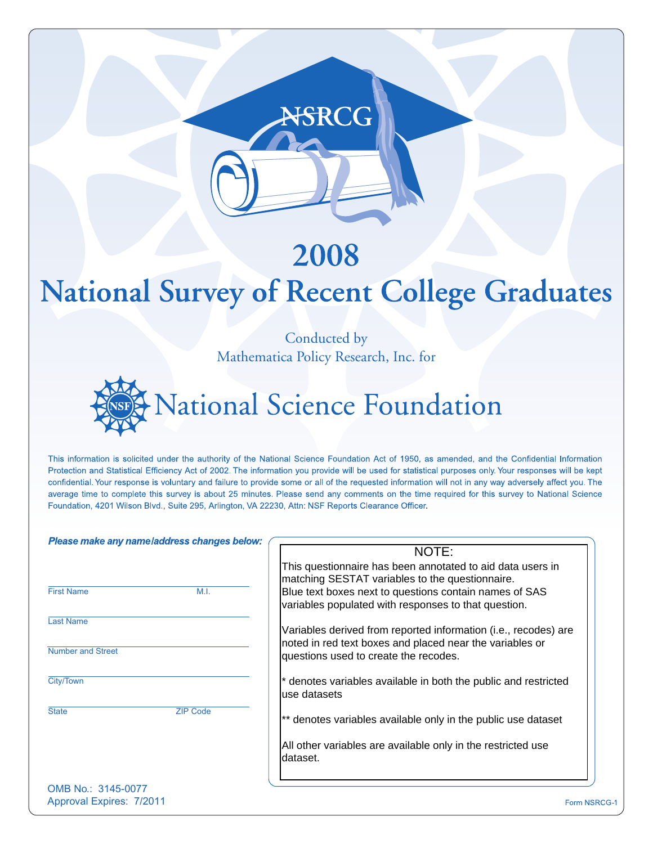## 2008

VSRCG

# **National Survey of Recent College Graduates**

Conducted by Mathematica Policy Research, Inc. for



This information is solicited under the authority of the National Science Foundation Act of 1950, as amended, and the Confidential Information Protection and Statistical Efficiency Act of 2002. The information you provide will be used for statistical purposes only. Your responses will be kept confidential. Your response is voluntary and failure to provide some or all of the requested information will not in any way adversely affect you. The average time to complete this survey is about 25 minutes. Please send any comments on the time required for this survey to National Science Foundation, 4201 Wilson Blvd., Suite 295, Arlington, VA 22230, Attn: NSF Reports Clearance Officer.

| Please make any name laddress changes below:   |                 |                                                                                                                             |
|------------------------------------------------|-----------------|-----------------------------------------------------------------------------------------------------------------------------|
|                                                |                 | NOTE:                                                                                                                       |
|                                                |                 | This questionnaire has been annotated to aid data users in<br>matching SESTAT variables to the questionnaire.               |
| <b>First Name</b>                              | M.I.            | Blue text boxes next to questions contain names of SAS<br>variables populated with responses to that question.              |
| <b>Last Name</b>                               |                 | Variables derived from reported information (i.e., recodes) are<br>noted in red text boxes and placed near the variables or |
| <b>Number and Street</b>                       |                 | questions used to create the recodes.                                                                                       |
| City/Town                                      |                 | * denotes variables available in both the public and restricted<br>luse datasets                                            |
| <b>State</b>                                   | <b>ZIP Code</b> | denotes variables available only in the public use dataset                                                                  |
|                                                |                 | All other variables are available only in the restricted use<br>Idataset.                                                   |
| OMB No.: 3145-0077<br>Approval Expires: 7/2011 |                 | <b>Form NSRCC</b>                                                                                                           |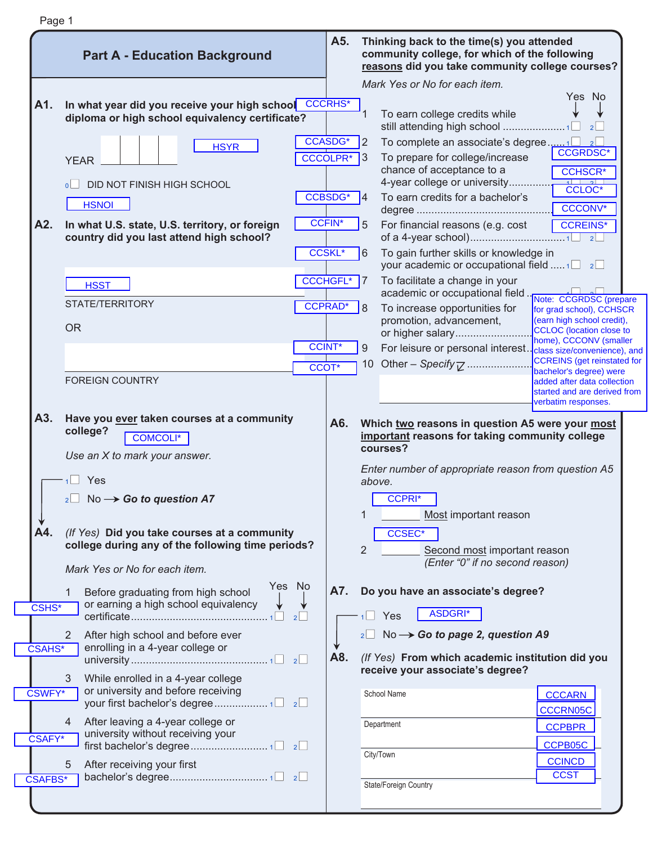|               | <b>Part A - Education Background</b>                                                                                                                                                                                                  |                                                                                        | A5. | Thinking back to the time(s) you attended<br>community college, for which of the following<br>reasons did you take community college courses?                                                                                                                                                                                  |                                                                                                                                       |
|---------------|---------------------------------------------------------------------------------------------------------------------------------------------------------------------------------------------------------------------------------------|----------------------------------------------------------------------------------------|-----|--------------------------------------------------------------------------------------------------------------------------------------------------------------------------------------------------------------------------------------------------------------------------------------------------------------------------------|---------------------------------------------------------------------------------------------------------------------------------------|
| A1.<br>A2.    | In what year did you receive your high school<br>diploma or high school equivalency certificate?<br><b>HSYR</b><br><b>YEAR</b><br>DID NOT FINISH HIGH SCHOOL<br> 0 <br><b>HSNOI</b><br>In what U.S. state, U.S. territory, or foreign | <b>CCCRHS*</b><br><b>CCASDG*</b><br><b>CCCOLPR*</b><br><b>CCBSDG*</b><br><b>CCFIN*</b> |     | Mark Yes or No for each item.<br>To earn college credits while<br>still attending high school<br>To complete an associate's degree<br>2<br>To prepare for college/increase<br>3<br>chance of acceptance to a<br>4-year college or university<br>To earn credits for a bachelor's<br>4<br>For financial reasons (e.g. cost<br>5 | Yes No<br>2 <sup>2</sup><br>2 <sup>2</sup><br><b>CCGRDSC*</b><br><b>CCHSCR*</b><br><b>CCLOC*</b><br><b>CCCONV*</b><br><b>CCREINS*</b> |
|               | country did you last attend high school?                                                                                                                                                                                              | <b>CCSKL*</b>                                                                          |     | To gain further skills or knowledge in<br>6<br>your academic or occupational field $\ldots$ 1 $\Box$ 2 $\Box$                                                                                                                                                                                                                  | 2 <sup>2</sup>                                                                                                                        |
|               | <b>HSST</b><br>STATE/TERRITORY                                                                                                                                                                                                        | <b>CCCHGFL*</b><br><b>CCPRAD</b> *                                                     |     | To facilitate a change in your<br>academic or occupational field<br>To increase opportunities for<br>8<br>promotion, advancement,                                                                                                                                                                                              | Note: CCGRDSC (prepare<br>for grad school), CCHSCR<br>(earn high school credit),                                                      |
|               | <b>OR</b>                                                                                                                                                                                                                             | <b>CCINT*</b><br><b>CCOT</b> *                                                         |     | or higher salary<br>9<br>For leisure or personal interest. class size/convenience), and<br>10 Other - Specify $\overline{V}$                                                                                                                                                                                                   | <b>CCLOC</b> (location close to<br>home), CCCONV (smaller<br><b>CCREINS</b> (get reinstated for                                       |
|               | <b>FOREIGN COUNTRY</b>                                                                                                                                                                                                                |                                                                                        |     |                                                                                                                                                                                                                                                                                                                                | bachelor's degree) were<br>added after data collection<br>started and are derived from<br>verbatim responses.                         |
| A3.           | Have you ever taken courses at a community<br>college?<br><b>COMCOLI*</b><br>Use an X to mark your answer.                                                                                                                            |                                                                                        | A6. | Which two reasons in question A5 were your most<br>important reasons for taking community college<br>courses?                                                                                                                                                                                                                  |                                                                                                                                       |
|               | Yes<br>No $\rightarrow$ Go to question A7                                                                                                                                                                                             |                                                                                        |     | Enter number of appropriate reason from question A5<br>above.<br><b>CCPRI*</b><br>Most important reason                                                                                                                                                                                                                        |                                                                                                                                       |
| A4.           | (If Yes) Did you take courses at a community<br>college during any of the following time periods?<br>Mark Yes or No for each item.                                                                                                    |                                                                                        |     | <b>CCSEC*</b><br>2<br>Second most important reason<br>(Enter "0" if no second reason)                                                                                                                                                                                                                                          |                                                                                                                                       |
| <b>CSHS*</b>  | Yes No<br>Before graduating from high school<br>or earning a high school equivalency                                                                                                                                                  |                                                                                        | A7. | Do you have an associate's degree?<br>ASDGRI*<br>$1$ Yes                                                                                                                                                                                                                                                                       |                                                                                                                                       |
| <b>CSAHS*</b> | After high school and before ever<br>$\mathbf{2}$<br>enrolling in a 4-year college or                                                                                                                                                 |                                                                                        | A8. | $_2\square$ No $\rightarrow$ Go to page 2, question A9<br>(If Yes) From which academic institution did you                                                                                                                                                                                                                     |                                                                                                                                       |
| CSWFY*        | 3<br>While enrolled in a 4-year college<br>or university and before receiving                                                                                                                                                         |                                                                                        |     | receive your associate's degree?<br>School Name                                                                                                                                                                                                                                                                                | <b>CCCARN</b><br><b>CCCRN05C</b>                                                                                                      |
| <b>CSAFY*</b> | After leaving a 4-year college or<br>4<br>university without receiving your                                                                                                                                                           |                                                                                        |     | Department<br>City/Town                                                                                                                                                                                                                                                                                                        | <b>CCPBPR</b><br>CCPB05C                                                                                                              |
| CSAFBS*       | 5<br>After receiving your first                                                                                                                                                                                                       |                                                                                        |     | State/Foreign Country                                                                                                                                                                                                                                                                                                          | <b>CCINCD</b><br><b>CCST</b>                                                                                                          |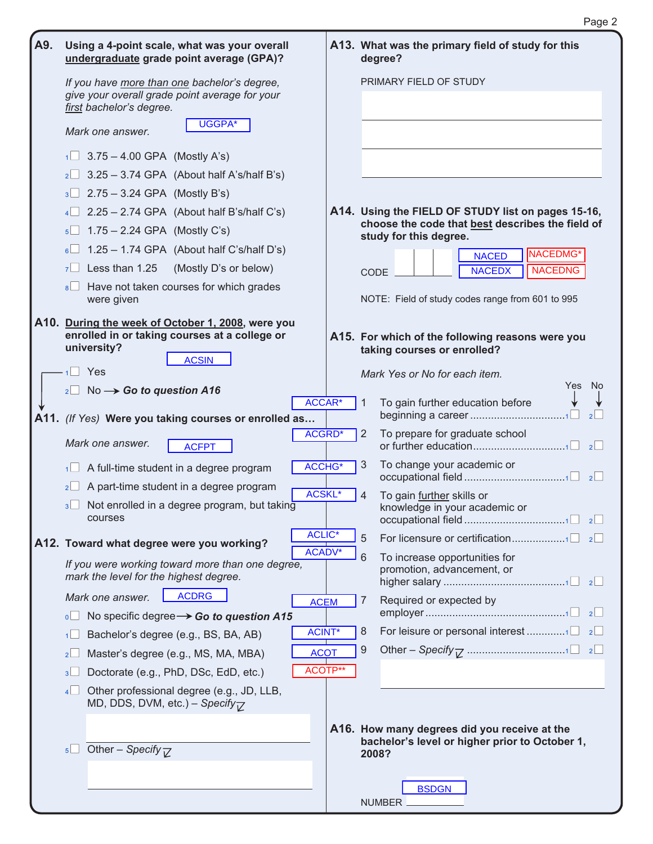| A9. | Using a 4-point scale, what was your overall<br>undergraduate grade point average (GPA)?                                   | A13. What was the primary field of study for this<br>degree?                                            |
|-----|----------------------------------------------------------------------------------------------------------------------------|---------------------------------------------------------------------------------------------------------|
|     | If you have more than one bachelor's degree,<br>give your overall grade point average for your<br>first bachelor's degree. | PRIMARY FIELD OF STUDY                                                                                  |
|     | UGGPA*<br>Mark one answer.                                                                                                 |                                                                                                         |
|     | $1 \square$ 3.75 – 4.00 GPA (Mostly A's)                                                                                   |                                                                                                         |
|     | $3.25 - 3.74$ GPA (About half A's/half B's)<br>$2^{\vert}$                                                                 |                                                                                                         |
|     | $3$ 2.75 – 3.24 GPA (Mostly B's)                                                                                           |                                                                                                         |
|     | $4 \square$ 2.25 - 2.74 GPA (About half B's/half C's)                                                                      | A14. Using the FIELD OF STUDY list on pages 15-16,                                                      |
|     | $1.75 - 2.24$ GPA (Mostly C's)<br>5                                                                                        | choose the code that best describes the field of<br>study for this degree.                              |
|     | $1.25 - 1.74$ GPA (About half C's/half D's)<br>6                                                                           | NACEDMG*<br><b>NACED</b>                                                                                |
|     | $7\Box$ Less than 1.25<br>(Mostly D's or below)                                                                            | <b>NACEDNG</b><br><b>NACEDX</b><br>CODE                                                                 |
|     | Have not taken courses for which grades<br>8<br>were given                                                                 | NOTE: Field of study codes range from 601 to 995                                                        |
|     | A10. During the week of October 1, 2008, were you<br>enrolled in or taking courses at a college or                         | A15. For which of the following reasons were you                                                        |
|     | university?<br><b>ACSIN</b>                                                                                                | taking courses or enrolled?                                                                             |
|     | $1$ Yes                                                                                                                    | Mark Yes or No for each item.                                                                           |
|     | $_2$ No $\rightarrow$ Go to question A16                                                                                   | <b>Yes</b><br>- No                                                                                      |
|     | <b>ACCAR*</b><br>A11. (If Yes) Were you taking courses or enrolled as                                                      | To gain further education before<br>1<br>2                                                              |
|     | ACGRD*                                                                                                                     | 2<br>To prepare for graduate school                                                                     |
|     | Mark one answer.<br><b>ACFPT</b>                                                                                           |                                                                                                         |
|     | <b>ACCHG*</b><br>A full-time student in a degree program<br>1                                                              | To change your academic or<br>3<br>$\overline{2}$                                                       |
|     | A part-time student in a degree program<br>2<br><b>ACSKL*</b>                                                              | 4<br>To gain further skills or                                                                          |
|     | Not enrolled in a degree program, but taking<br>3 <sup>1</sup><br>courses                                                  | knowledge in your academic or                                                                           |
|     | <b>ACLIC*</b><br>A12. Toward what degree were you working?                                                                 | 5<br>2                                                                                                  |
|     | ACADV*<br>If you were working toward more than one degree,<br>mark the level for the highest degree.                       | 6<br>To increase opportunities for<br>promotion, advancement, or                                        |
|     | <b>ACDRG</b><br>Mark one answer.<br><b>ACEM</b>                                                                            | Required or expected by<br>7                                                                            |
|     | No specific degree $\rightarrow$ Go to question A15<br>0 <sup>2</sup>                                                      |                                                                                                         |
|     | <b>ACINT*</b><br>Bachelor's degree (e.g., BS, BA, AB)<br>1                                                                 | 8                                                                                                       |
|     | <b>ACOT</b><br>Master's degree (e.g., MS, MA, MBA)<br>$2^{\lfloor}$                                                        | 9                                                                                                       |
|     | ACOTP**<br>Doctorate (e.g., PhD, DSc, EdD, etc.)<br>$3\perp$                                                               |                                                                                                         |
|     | Other professional degree (e.g., JD, LLB,<br>4<br>MD, DDS, DVM, etc.) - Specify <sub><math>\overline{V}</math></sub>       |                                                                                                         |
|     | Other – Specify $\nabla$<br>5                                                                                              | A16. How many degrees did you receive at the<br>bachelor's level or higher prior to October 1,<br>2008? |
|     |                                                                                                                            | <b>BSDGN</b><br><b>NUMBER</b>                                                                           |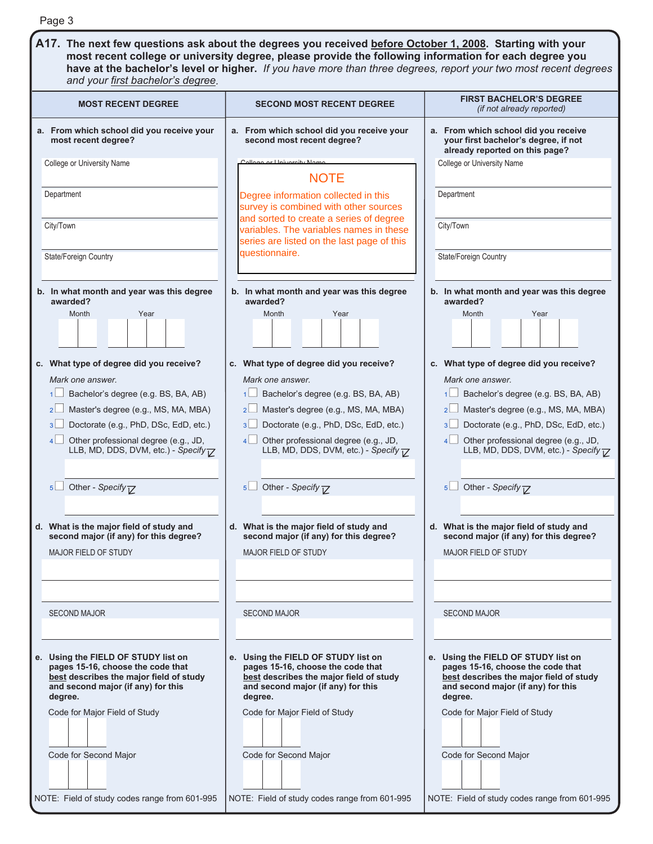| Page 3                                                                                                                                                               |                                                                                                                                                                                                                                                                                                                                         |                                                                                                                                                                      |
|----------------------------------------------------------------------------------------------------------------------------------------------------------------------|-----------------------------------------------------------------------------------------------------------------------------------------------------------------------------------------------------------------------------------------------------------------------------------------------------------------------------------------|----------------------------------------------------------------------------------------------------------------------------------------------------------------------|
| and your first bachelor's degree.                                                                                                                                    | A17. The next few questions ask about the degrees you received before October 1, 2008. Starting with your<br>most recent college or university degree, please provide the following information for each degree you<br>have at the bachelor's level or higher. If you have more than three degrees, report your two most recent degrees |                                                                                                                                                                      |
| <b>MOST RECENT DEGREE</b>                                                                                                                                            | <b>SECOND MOST RECENT DEGREE</b>                                                                                                                                                                                                                                                                                                        | <b>FIRST BACHELOR'S DEGREE</b><br>(if not already reported)                                                                                                          |
| a. From which school did you receive your<br>most recent degree?                                                                                                     | a. From which school did you receive your<br>second most recent degree?                                                                                                                                                                                                                                                                 | a. From which school did you receive<br>your first bachelor's degree, if not<br>already reported on this page?                                                       |
| College or University Name                                                                                                                                           | College or University Non<br><b>NOTE</b>                                                                                                                                                                                                                                                                                                | College or University Name                                                                                                                                           |
| Department                                                                                                                                                           | Degree information collected in this<br>survey is combined with other sources                                                                                                                                                                                                                                                           | Department                                                                                                                                                           |
| City/Town                                                                                                                                                            | and sorted to create a series of degree<br>variables. The variables names in these<br>series are listed on the last page of this                                                                                                                                                                                                        | City/Town                                                                                                                                                            |
| State/Foreign Country                                                                                                                                                | questionnaire.                                                                                                                                                                                                                                                                                                                          | State/Foreign Country                                                                                                                                                |
| b. In what month and year was this degree<br>awarded?<br>Month<br>Year                                                                                               | b. In what month and year was this degree<br>awarded?<br>Month<br>Year                                                                                                                                                                                                                                                                  | b. In what month and year was this degree<br>awarded?<br>Month<br>Year                                                                                               |
| c. What type of degree did you receive?                                                                                                                              | c. What type of degree did you receive?                                                                                                                                                                                                                                                                                                 | c. What type of degree did you receive?                                                                                                                              |
| Mark one answer.                                                                                                                                                     | Mark one answer.                                                                                                                                                                                                                                                                                                                        | Mark one answer.                                                                                                                                                     |
| Bachelor's degree (e.g. BS, BA, AB)                                                                                                                                  | Bachelor's degree (e.g. BS, BA, AB)                                                                                                                                                                                                                                                                                                     | Bachelor's degree (e.g. BS, BA, AB)<br>1                                                                                                                             |
| Master's degree (e.g., MS, MA, MBA)<br>2 <sup>2</sup>                                                                                                                | Master's degree (e.g., MS, MA, MBA)<br>2 <sub>2</sub>                                                                                                                                                                                                                                                                                   | Master's degree (e.g., MS, MA, MBA)<br>$2 \Box$                                                                                                                      |
| Doctorate (e.g., PhD, DSc, EdD, etc.)<br>3 <sup>1</sup>                                                                                                              | Doctorate (e.g., PhD, DSc, EdD, etc.)<br>3 <sup>l</sup><br>4<br>Other professional degree (e.g., JD,                                                                                                                                                                                                                                    | Doctorate (e.g., PhD, DSc, EdD, etc.)<br>$3 \Box$<br>4                                                                                                               |
| Other professional degree (e.g., JD,<br>4<br>LLB, MD, DDS, DVM, etc.) - Specify $\overline{V}$                                                                       | LLB, MD, DDS, DVM, etc.) - Specify T                                                                                                                                                                                                                                                                                                    | Other professional degree (e.g., JD,<br>LLB, MD, DDS, DVM, etc.) - Specify TZ                                                                                        |
| Other - Specify <sub>17</sub><br>5 <sup>1</sup>                                                                                                                      | Other - Specify $\neg$<br>$5\Box$                                                                                                                                                                                                                                                                                                       | Other - Specify $\neg$<br>5                                                                                                                                          |
|                                                                                                                                                                      |                                                                                                                                                                                                                                                                                                                                         |                                                                                                                                                                      |
| d. What is the major field of study and<br>second major (if any) for this degree?                                                                                    | d. What is the major field of study and<br>second major (if any) for this degree?                                                                                                                                                                                                                                                       | d. What is the major field of study and<br>second major (if any) for this degree?                                                                                    |
| <b>MAJOR FIELD OF STUDY</b>                                                                                                                                          | <b>MAJOR FIELD OF STUDY</b>                                                                                                                                                                                                                                                                                                             | <b>MAJOR FIELD OF STUDY</b>                                                                                                                                          |
|                                                                                                                                                                      |                                                                                                                                                                                                                                                                                                                                         |                                                                                                                                                                      |
| <b>SECOND MAJOR</b>                                                                                                                                                  | <b>SECOND MAJOR</b>                                                                                                                                                                                                                                                                                                                     | <b>SECOND MAJOR</b>                                                                                                                                                  |
|                                                                                                                                                                      |                                                                                                                                                                                                                                                                                                                                         |                                                                                                                                                                      |
| e. Using the FIELD OF STUDY list on<br>pages 15-16, choose the code that<br>best describes the major field of study<br>and second major (if any) for this<br>degree. | e. Using the FIELD OF STUDY list on<br>pages 15-16, choose the code that<br>best describes the major field of study<br>and second major (if any) for this<br>degree.                                                                                                                                                                    | e. Using the FIELD OF STUDY list on<br>pages 15-16, choose the code that<br>best describes the major field of study<br>and second major (if any) for this<br>degree. |
| Code for Major Field of Study                                                                                                                                        | Code for Major Field of Study                                                                                                                                                                                                                                                                                                           | Code for Major Field of Study                                                                                                                                        |
| Code for Second Major                                                                                                                                                | Code for Second Major                                                                                                                                                                                                                                                                                                                   | Code for Second Major                                                                                                                                                |
| NOTE: Field of study codes range from 601-995                                                                                                                        | NOTE: Field of study codes range from 601-995                                                                                                                                                                                                                                                                                           | NOTE: Field of study codes range from 601-995                                                                                                                        |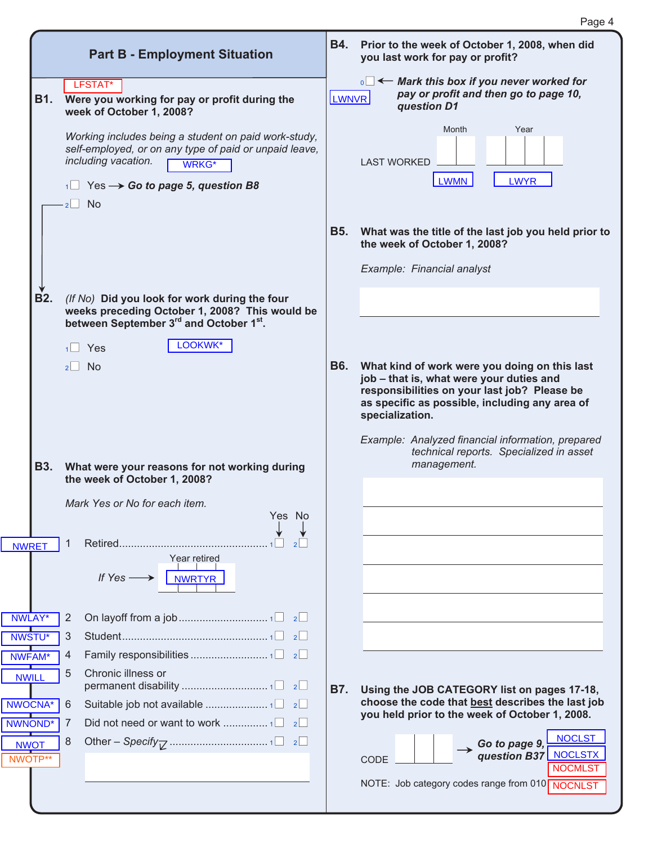|                        |                                                                                                                                                                                                                              |            | Page 4                                                                                                                                                                                                         |
|------------------------|------------------------------------------------------------------------------------------------------------------------------------------------------------------------------------------------------------------------------|------------|----------------------------------------------------------------------------------------------------------------------------------------------------------------------------------------------------------------|
|                        | <b>Part B - Employment Situation</b>                                                                                                                                                                                         | <b>B4.</b> | Prior to the week of October 1, 2008, when did<br>you last work for pay or profit?                                                                                                                             |
| <b>B1.</b>             | LFSTAT*<br>Were you working for pay or profit during the<br>week of October 1, 2008?                                                                                                                                         | LWNVR      | $\overline{\mathbf{C}}$ Mark this box if you never worked for<br>pay or profit and then go to page 10,<br>question D1                                                                                          |
|                        | Working includes being a student on paid work-study,<br>self-employed, or on any type of paid or unpaid leave,<br>including vacation.<br><b>WRKG*</b><br>$\frac{1}{1}$ Yes $\rightarrow$ Go to page 5, question B8<br>$2$ No |            | Month<br>Year<br><b>LAST WORKED</b><br><b>LWMN</b><br><b>LWYR</b>                                                                                                                                              |
|                        |                                                                                                                                                                                                                              | B5.        | What was the title of the last job you held prior to<br>the week of October 1, 2008?<br>Example: Financial analyst                                                                                             |
|                        |                                                                                                                                                                                                                              |            |                                                                                                                                                                                                                |
| <b>B2.</b>             | (If No) Did you look for work during the four<br>weeks preceding October 1, 2008? This would be                                                                                                                              |            |                                                                                                                                                                                                                |
|                        | between September 3rd and October 1st.<br>LOOKWK*                                                                                                                                                                            |            |                                                                                                                                                                                                                |
|                        | $1$ Yes<br>$2$ No                                                                                                                                                                                                            | <b>B6.</b> | What kind of work were you doing on this last<br>job - that is, what were your duties and<br>responsibilities on your last job? Please be<br>as specific as possible, including any area of<br>specialization. |
| <b>B3.</b>             | What were your reasons for not working during                                                                                                                                                                                |            | Example: Analyzed financial information, prepared<br>technical reports. Specialized in asset<br>management.                                                                                                    |
|                        | the week of October 1, 2008?                                                                                                                                                                                                 |            |                                                                                                                                                                                                                |
|                        | Mark Yes or No for each item.<br>Yes No                                                                                                                                                                                      |            |                                                                                                                                                                                                                |
| <b>NWRET</b>           | 1<br>Year retired                                                                                                                                                                                                            |            |                                                                                                                                                                                                                |
|                        | If $Yes \longrightarrow \boxed{NWRTYR}$                                                                                                                                                                                      |            |                                                                                                                                                                                                                |
| NWLAY*                 | 2                                                                                                                                                                                                                            |            |                                                                                                                                                                                                                |
| <b>NWSTU*</b>          | 3                                                                                                                                                                                                                            |            |                                                                                                                                                                                                                |
| <b>NWFAM</b>           | 4                                                                                                                                                                                                                            |            |                                                                                                                                                                                                                |
| <b>NWILI</b>           | Chronic illness or<br>5                                                                                                                                                                                                      | <b>B7.</b> | Using the JOB CATEGORY list on pages 17-18,                                                                                                                                                                    |
| NWOCNA*                | 6                                                                                                                                                                                                                            |            | choose the code that best describes the last job<br>you held prior to the week of October 1, 2008.                                                                                                             |
| <b>NWNOND</b>          | 7                                                                                                                                                                                                                            |            |                                                                                                                                                                                                                |
| <b>NWOT</b><br>NWOTP** | 8                                                                                                                                                                                                                            |            | <b>NOCLST</b><br>$\rightarrow$ Go to page 9, NOCLST<br>question B37 NOCLSTX<br>CODE<br><b>NOCMLST</b>                                                                                                          |
|                        |                                                                                                                                                                                                                              |            | NOTE: Job category codes range from 010 NOCNLST                                                                                                                                                                |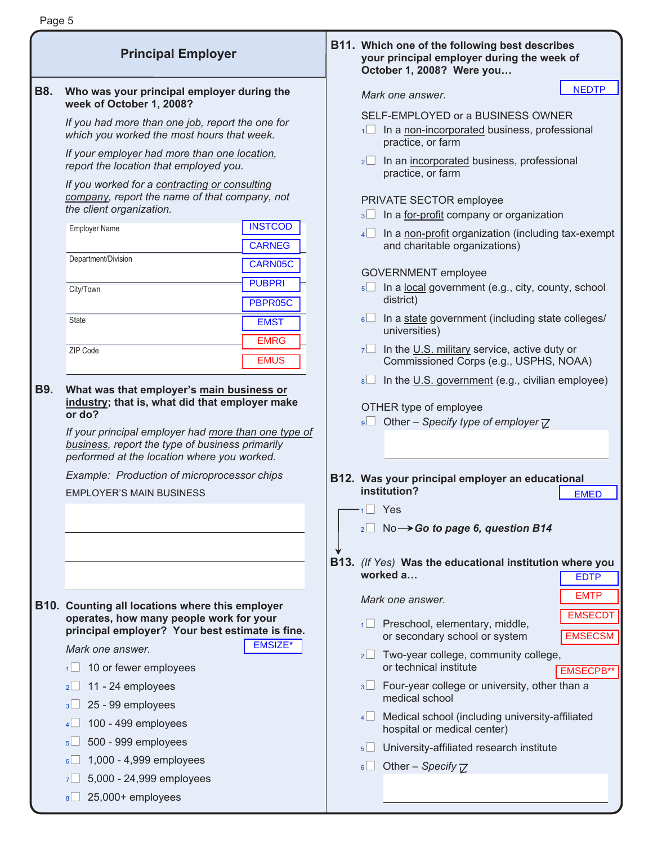|                          | <b>Principal Employer</b>                                                                                                                                                                                                                                                                                                                                                                                                                                                                                                                                                                                                                                                                                                                                                                                                                                                                                                                                     | B11. Which one of the following best describes<br>your principal employer during the week of<br>October 1, 2008? Were you                                                                                                                                                                                                                                                                                                                                                                                                                                                                                                                                                                                                                                                                                                                                                                                                                                                                                 |
|--------------------------|---------------------------------------------------------------------------------------------------------------------------------------------------------------------------------------------------------------------------------------------------------------------------------------------------------------------------------------------------------------------------------------------------------------------------------------------------------------------------------------------------------------------------------------------------------------------------------------------------------------------------------------------------------------------------------------------------------------------------------------------------------------------------------------------------------------------------------------------------------------------------------------------------------------------------------------------------------------|-----------------------------------------------------------------------------------------------------------------------------------------------------------------------------------------------------------------------------------------------------------------------------------------------------------------------------------------------------------------------------------------------------------------------------------------------------------------------------------------------------------------------------------------------------------------------------------------------------------------------------------------------------------------------------------------------------------------------------------------------------------------------------------------------------------------------------------------------------------------------------------------------------------------------------------------------------------------------------------------------------------|
| <b>B8.</b><br><b>B9.</b> | Who was your principal employer during the<br>week of October 1, 2008?<br>If you had more than one job, report the one for<br>which you worked the most hours that week.<br>If your employer had more than one location,<br>report the location that employed you.<br>If you worked for a contracting or consulting<br>company, report the name of that company, not<br>the client organization.<br><b>INSTCOD</b><br><b>Employer Name</b><br><b>CARNEG</b><br>Department/Division<br>CARN05C<br><b>PUBPRI</b><br>City/Town<br>PBPR05C<br>State<br><b>EMST</b><br><b>EMRG</b><br>ZIP Code<br><b>EMUS</b><br>What was that employer's main business or<br>industry; that is, what did that employer make<br>or do?<br>If your principal employer had more than one type of<br>business, report the type of business primarily<br>performed at the location where you worked.<br>Example: Production of microprocessor chips<br><b>EMPLOYER'S MAIN BUSINESS</b> | <b>NEDTP</b><br>Mark one answer.<br>SELF-EMPLOYED or a BUSINESS OWNER<br>$\sqrt{1}$ In a non-incorporated business, professional<br>practice, or farm<br>2<br>In an incorporated business, professional<br>practice, or farm<br>PRIVATE SECTOR employee<br>In a for-profit company or organization<br>3<br>$4\Box$ In a non-profit organization (including tax-exempt<br>and charitable organizations)<br><b>GOVERNMENT</b> employee<br>$\overline{\phantom{0}}$ In a local government (e.g., city, county, school<br>district)<br>In a state government (including state colleges/<br>6<br>universities)<br>$7\Box$ In the U.S. military service, active duty or<br>Commissioned Corps (e.g., USPHS, NOAA)<br>In the U.S. government (e.g., civilian employee)<br>8<br>OTHER type of employee<br>Other – Specify type of employer $\nabla$<br>9<br>B12. Was your principal employer an educational<br>institution?<br><b>EMED</b><br>$1 \square$ Yes<br>No $\rightarrow$ Go to page 6, question B14<br>2 |
|                          | <b>B10. Counting all locations where this employer</b><br>operates, how many people work for your<br>principal employer? Your best estimate is fine.<br>EMSIZE*<br>Mark one answer.<br>10 or fewer employees<br>$1$ $\Box$<br>11 - 24 employees<br>$2^{\square}$<br>25 - 99 employees<br>3 <sup>2</sup><br>100 - 499 employees<br>4 $\Box$<br>500 - 999 employees<br>$5$ $\Box$<br>1,000 - 4,999 employees<br>$6\Box$<br>5,000 - 24,999 employees<br>7 <sup>1</sup><br>25,000+ employees<br>8                                                                                                                                                                                                                                                                                                                                                                                                                                                                 | B13. (If Yes) Was the educational institution where you<br>worked a<br><b>EDTP</b><br><b>EMTP</b><br>Mark one answer.<br><b>EMSECDT</b><br>Preschool, elementary, middle,<br>1<br><b>EMSECSM</b><br>or secondary school or system<br>Two-year college, community college,<br>2<br>or technical institute<br><b>EMSECPB</b><br>Four-year college or university, other than a<br>3 <sup>1</sup><br>medical school<br>Medical school (including university-affiliated<br>4<br>hospital or medical center)<br>University-affiliated research institute<br>$5\Box$<br>Other – Specify $\nabla$<br>$6$ $\Box$                                                                                                                                                                                                                                                                                                                                                                                                   |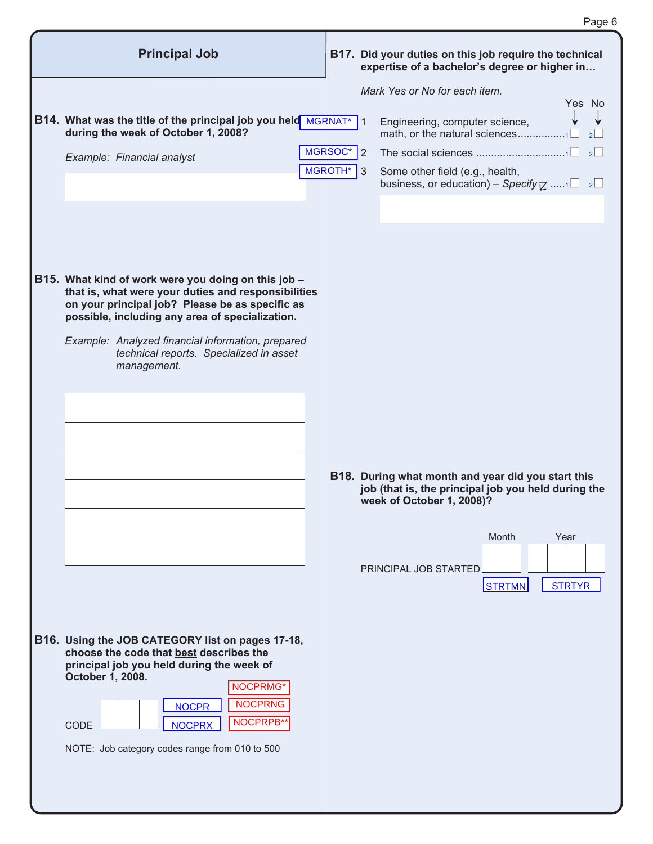|                                                                                                                                                                                                                                                                                                                                 |                    | Page 6                                                                                                                                                                                                                                     |
|---------------------------------------------------------------------------------------------------------------------------------------------------------------------------------------------------------------------------------------------------------------------------------------------------------------------------------|--------------------|--------------------------------------------------------------------------------------------------------------------------------------------------------------------------------------------------------------------------------------------|
| <b>Principal Job</b>                                                                                                                                                                                                                                                                                                            |                    | B17. Did your duties on this job require the technical<br>expertise of a bachelor's degree or higher in                                                                                                                                    |
| B14. What was the title of the principal job you held MGRNAT*<br>during the week of October 1, 2008?<br>Example: Financial analyst                                                                                                                                                                                              | MGRSOC*<br>MGROTH* | Mark Yes or No for each item.<br>Yes No<br>Engineering, computer science,<br>-1<br>math, or the natural sciences<br>$\overline{2}$<br>$\vert$ 3<br>Some other field (e.g., health,<br>business, or education) – Specify $\overline{Z}$ 1 2 |
| B15. What kind of work were you doing on this job -<br>that is, what were your duties and responsibilities<br>on your principal job? Please be as specific as<br>possible, including any area of specialization.<br>Example: Analyzed financial information, prepared<br>technical reports. Specialized in asset<br>management. |                    |                                                                                                                                                                                                                                            |
|                                                                                                                                                                                                                                                                                                                                 |                    | B18. During what month and year did you start this<br>job (that is, the principal job you held during the<br>week of October 1, 2008)?<br>Month<br>Year<br>PRINCIPAL JOB STARTED<br><b>STRTYR</b>                                          |
| B16. Using the JOB CATEGORY list on pages 17-18,<br>choose the code that best describes the<br>principal job you held during the week of<br>October 1, 2008.<br>NOCPRMG*<br><b>NOCPRNG</b><br><b>NOCPR</b><br>NOCPRPB*<br><b>NOCPRX</b><br>CODE<br>NOTE: Job category codes range from 010 to 500                               |                    | <b>STRTMN</b>                                                                                                                                                                                                                              |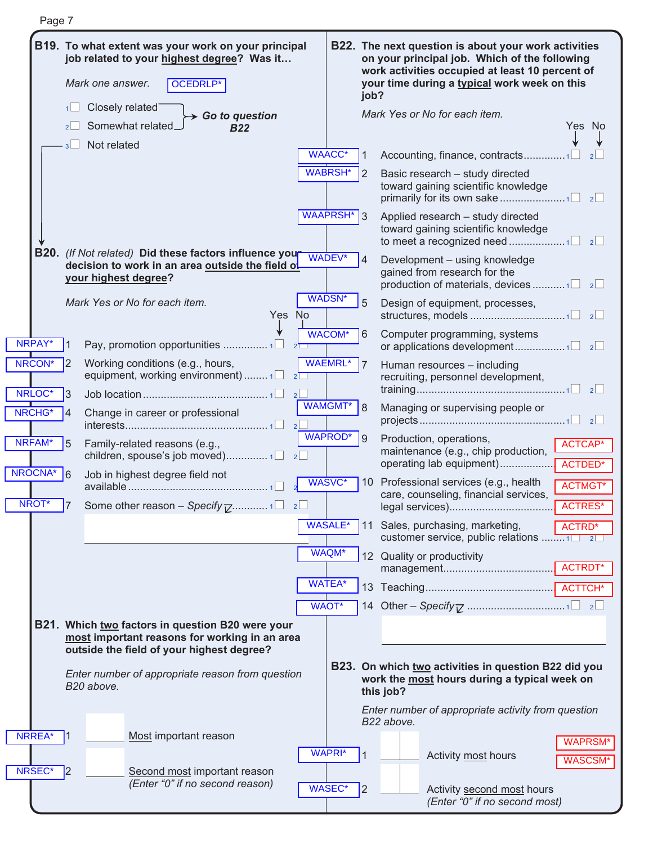|               |                | B19. To what extent was your work on your principal<br>job related to your highest degree? Was it<br>Mark one answer.<br>OCEDRLP*              |                 | job?           | B22. The next question is about your work activities<br>on your principal job. Which of the following<br>work activities occupied at least 10 percent of<br>your time during a typical work week on this |
|---------------|----------------|------------------------------------------------------------------------------------------------------------------------------------------------|-----------------|----------------|----------------------------------------------------------------------------------------------------------------------------------------------------------------------------------------------------------|
|               | 1              | Closely related<br>$\rightarrow$ Go to question                                                                                                |                 |                | Mark Yes or No for each item.                                                                                                                                                                            |
|               | 2 <sup>l</sup> | Somewhat related.<br><b>B22</b>                                                                                                                |                 |                | Yes No                                                                                                                                                                                                   |
|               | 3 <sup>1</sup> | Not related                                                                                                                                    | <b>WAACC*</b>   |                | Accounting, finance, contracts1                                                                                                                                                                          |
|               |                |                                                                                                                                                | <b>WABRSH</b> * | 2              | Basic research - study directed                                                                                                                                                                          |
|               |                |                                                                                                                                                |                 |                | toward gaining scientific knowledge                                                                                                                                                                      |
|               |                |                                                                                                                                                | <b>WAAPRSH*</b> | 3              | Applied research - study directed<br>toward gaining scientific knowledge                                                                                                                                 |
|               |                | B20. (If Not related) Did these factors influence your<br>decision to work in an area outside the field of<br>your highest degree?             | WADEV*          | $\overline{4}$ | Development - using knowledge<br>gained from research for the                                                                                                                                            |
|               |                | Mark Yes or No for each item.<br>Yes No                                                                                                        | <b>WADSN*</b>   | 5              | Design of equipment, processes,                                                                                                                                                                          |
| NRPAY*        |                |                                                                                                                                                | WACOM*          | 6              | Computer programming, systems                                                                                                                                                                            |
| NRCON*        | <u> 2</u>      | Working conditions (e.g., hours,<br>equipment, working environment) $1\Box$ $2\Box$                                                            | WAEMRL*         | $\overline{7}$ | Human resources - including<br>recruiting, personnel development,                                                                                                                                        |
| NRLOC*        | 3              |                                                                                                                                                | <b>WAMGMT*</b>  | 8              |                                                                                                                                                                                                          |
| <b>NRCHG*</b> | 4              | Change in career or professional                                                                                                               |                 |                | Managing or supervising people or                                                                                                                                                                        |
| <b>NRFAM*</b> | 5              | Family-related reasons (e.g.,                                                                                                                  | WAPROD*         | $\overline{9}$ | Production, operations,<br>ACTCAP*<br>maintenance (e.g., chip production,<br>operating lab equipment)<br>ACTDED*                                                                                         |
| NROCNA*       | 16             | Job in highest degree field not                                                                                                                | WASVC*          | 10             | Professional services (e.g., health<br><b>ACTMGT</b><br>care, counseling, financial services,                                                                                                            |
| NROT*         |                | Some other reason – Specify $\overline{V}$ 1 2                                                                                                 |                 |                |                                                                                                                                                                                                          |
|               |                |                                                                                                                                                | <b>WASALE*</b>  | 11             | Sales, purchasing, marketing,<br>ACTRD <sup>*</sup><br>customer service, public relations 1□ 2□                                                                                                          |
|               |                |                                                                                                                                                | WAQM*           |                | 12 Quality or productivity                                                                                                                                                                               |
|               |                |                                                                                                                                                | <b>WATEA*</b>   |                |                                                                                                                                                                                                          |
|               |                |                                                                                                                                                |                 |                |                                                                                                                                                                                                          |
|               |                | B21. Which two factors in question B20 were your<br>most important reasons for working in an area<br>outside the field of your highest degree? | <b>WAOT*</b>    |                |                                                                                                                                                                                                          |
|               |                | Enter number of appropriate reason from question<br>B20 above.                                                                                 |                 |                | B23. On which two activities in question B22 did you<br>work the most hours during a typical week on<br>this job?                                                                                        |
|               |                |                                                                                                                                                |                 |                | Enter number of appropriate activity from question<br>B22 above.                                                                                                                                         |
| NRREA*        | 11             | Most important reason                                                                                                                          |                 |                | <b>WAPRSM*</b>                                                                                                                                                                                           |
| NRSEC*        | 2              | Second most important reason                                                                                                                   | <b>WAPRI*</b>   | $\mathbf{1}$   | Activity most hours<br><b>WASCSM</b>                                                                                                                                                                     |
|               |                | (Enter "0" if no second reason)                                                                                                                | WASEC*          | 2              | Activity second most hours<br>(Enter "0" if no second most)                                                                                                                                              |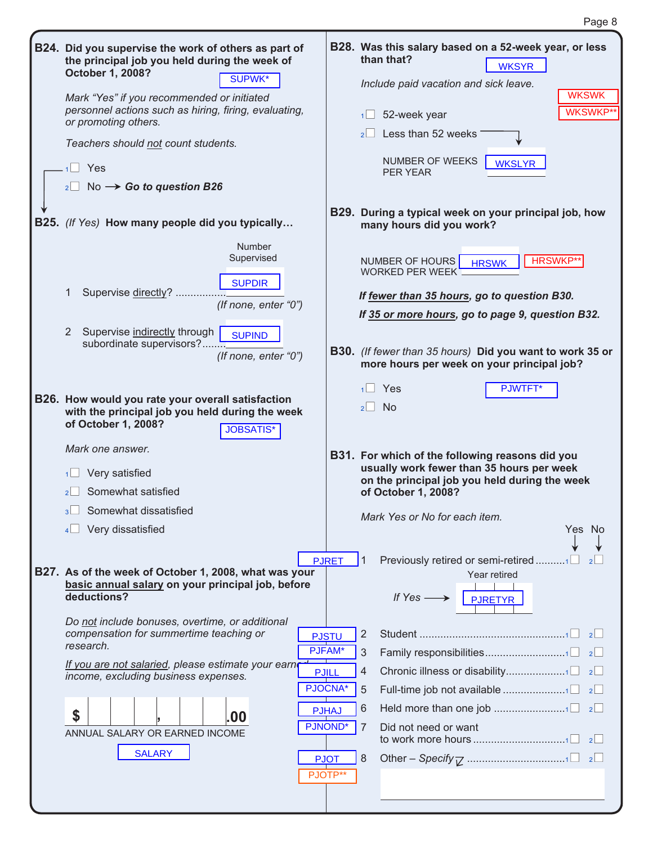| B24. Did you supervise the work of others as part of<br>the principal job you held during the week of<br><b>October 1, 2008?</b><br><b>SUPWK*</b><br>Mark "Yes" if you recommended or initiated<br>personnel actions such as hiring, firing, evaluating,<br>or promoting others.<br>Teachers should not count students.<br>$1$ Yes |                                                                                     | B28. Was this salary based on a 52-week year, or less<br>than that?<br><b>WKSYR</b><br>Include paid vacation and sick leave.<br><b>WKSWK</b><br><b>WKSWKP*</b><br>52-week year<br>1 <sup>1</sup><br>Less than 52 weeks<br>2 <sup>1</sup><br>NUMBER OF WEEKS<br><b>WKSLYR</b><br><b>PER YEAR</b> |
|------------------------------------------------------------------------------------------------------------------------------------------------------------------------------------------------------------------------------------------------------------------------------------------------------------------------------------|-------------------------------------------------------------------------------------|-------------------------------------------------------------------------------------------------------------------------------------------------------------------------------------------------------------------------------------------------------------------------------------------------|
| $_{2}$ No $\rightarrow$ Go to question B26<br><b>B25.</b> (If Yes) How many people did you typically                                                                                                                                                                                                                               |                                                                                     | B29. During a typical week on your principal job, how<br>many hours did you work?                                                                                                                                                                                                               |
| Number<br>Supervised<br><b>SUPDIR</b><br>Supervise directly?<br>1<br>(If none, enter "0")<br>$\overline{2}$<br>Supervise indirectly through<br><b>SUPIND</b><br>subordinate supervisors?                                                                                                                                           |                                                                                     | <b>HRSWKP*</b><br>NUMBER OF HOURS<br><b>HRSWK</b><br><b>WORKED PER WEEK</b><br>If fewer than 35 hours, go to question B30.<br>If 35 or more hours, go to page 9, question B32.<br>B30. (If fewer than 35 hours) Did you want to work 35 or                                                      |
| (If none, enter "0")<br>B26. How would you rate your overall satisfaction<br>with the principal job you held during the week<br>of October 1, 2008?<br><b>JOBSATIS*</b>                                                                                                                                                            |                                                                                     | more hours per week on your principal job?<br>PJWTFT*<br>Yes<br><b>No</b><br>2                                                                                                                                                                                                                  |
| Mark one answer.<br>Very satisfied<br>Somewhat satisfied<br>2 <sup>1</sup><br>3 Somewhat dissatisfied                                                                                                                                                                                                                              |                                                                                     | B31. For which of the following reasons did you<br>usually work fewer than 35 hours per week<br>on the principal job you held during the week<br>of October 1, 2008?                                                                                                                            |
| Very dissatisfied                                                                                                                                                                                                                                                                                                                  |                                                                                     | Mark Yes or No for each item.<br>Yes No                                                                                                                                                                                                                                                         |
| B27. As of the week of October 1, 2008, what was your<br>basic annual salary on your principal job, before<br>deductions?                                                                                                                                                                                                          | <b>PJRET</b>                                                                        | Previously retired or semi-retired<br>$\vert$ 1<br>Year retired<br>If $Yes \longrightarrow \Box$ PJRETYR                                                                                                                                                                                        |
| Do not include bonuses, overtime, or additional<br>compensation for summertime teaching or<br>research.<br>If you are not salaried, please estimate your earne<br>income, excluding business expenses.<br>\$<br>.00                                                                                                                | <b>PJSTU</b><br>PJFAM*<br><b>PJILL</b><br>PJOCNA*<br><b>PJHAJ</b><br><b>PJNOND*</b> | $\overline{2}$<br>3<br>4<br>Full-time job not available 1 2<br>5<br>6<br>$\overline{7}$<br>Did not need or want                                                                                                                                                                                 |
| ANNUAL SALARY OR EARNED INCOME<br><b>SALARY</b>                                                                                                                                                                                                                                                                                    | <b>PJOT</b><br>PJOTP**                                                              | 8                                                                                                                                                                                                                                                                                               |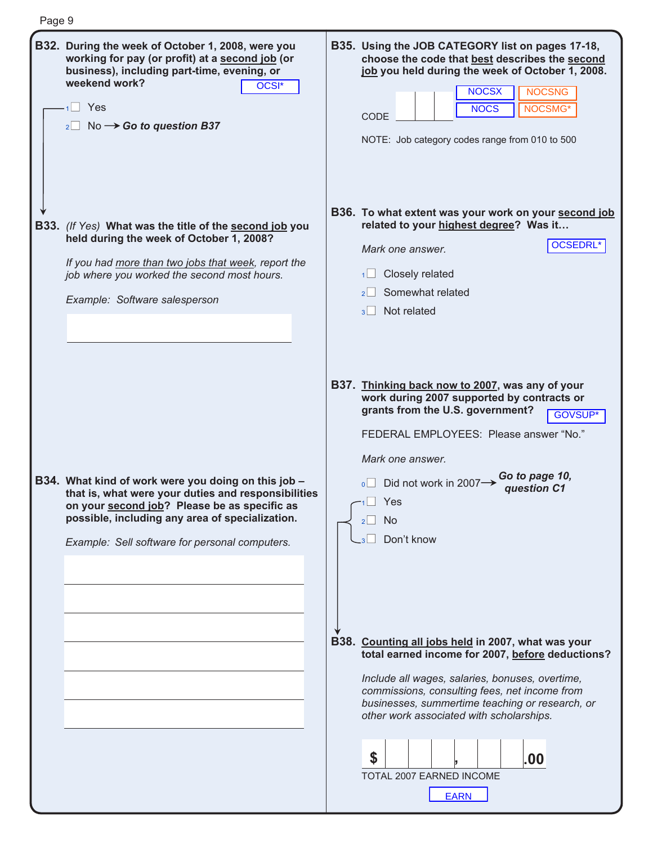| Page 9 |                                                                                                                                                                                                                                                                 |                                                                                                                                                                                                                                                                                                                                                                                                                                                                                                                                                                                                                                                                                                                                                      |
|--------|-----------------------------------------------------------------------------------------------------------------------------------------------------------------------------------------------------------------------------------------------------------------|------------------------------------------------------------------------------------------------------------------------------------------------------------------------------------------------------------------------------------------------------------------------------------------------------------------------------------------------------------------------------------------------------------------------------------------------------------------------------------------------------------------------------------------------------------------------------------------------------------------------------------------------------------------------------------------------------------------------------------------------------|
|        | B32. During the week of October 1, 2008, were you<br>working for pay (or profit) at a second job (or<br>business), including part-time, evening, or<br>weekend work?<br>OCSI*<br>$1$ Yes<br>$_2$ No $\rightarrow$ Go to question B37                            | B35. Using the JOB CATEGORY list on pages 17-18,<br>choose the code that best describes the second<br>job you held during the week of October 1, 2008.<br><b>NOCSX</b><br><b>NOCSNG</b><br><b>NOCS</b><br>NOCSMG <sup>*</sup><br>CODE<br>NOTE: Job category codes range from 010 to 500                                                                                                                                                                                                                                                                                                                                                                                                                                                              |
|        | <b>B33.</b> (If Yes) What was the title of the second job you<br>held during the week of October 1, 2008?<br>If you had more than two jobs that week, report the<br>job where you worked the second most hours.<br>Example: Software salesperson                | B36. To what extent was your work on your second job<br>related to your highest degree? Was it<br><b>OCSEDRL</b><br>Mark one answer.<br>Closely related<br>1<br>Somewhat related<br>Not related<br>3                                                                                                                                                                                                                                                                                                                                                                                                                                                                                                                                                 |
|        | B34. What kind of work were you doing on this job -<br>that is, what were your duties and responsibilities<br>on your second job? Please be as specific as<br>possible, including any area of specialization.<br>Example: Sell software for personal computers. | B37. Thinking back now to 2007, was any of your<br>work during 2007 supported by contracts or<br>grants from the U.S. government?<br><b>GOVSUP*</b><br>FEDERAL EMPLOYEES: Please answer "No."<br>Mark one answer.<br>Go to page 10,<br>$\circ$ Did not work in 2007 $\rightarrow$<br>question C1<br>Yes<br><b>No</b><br>2 <sup>2</sup><br>Don't know<br>$\overline{\mathbf{3}}$<br>B38. Counting all jobs held in 2007, what was your<br>total earned income for 2007, before deductions?<br>Include all wages, salaries, bonuses, overtime,<br>commissions, consulting fees, net income from<br>businesses, summertime teaching or research, or<br>other work associated with scholarships.<br>\$<br>.00<br>TOTAL 2007 EARNED INCOME<br><b>EARN</b> |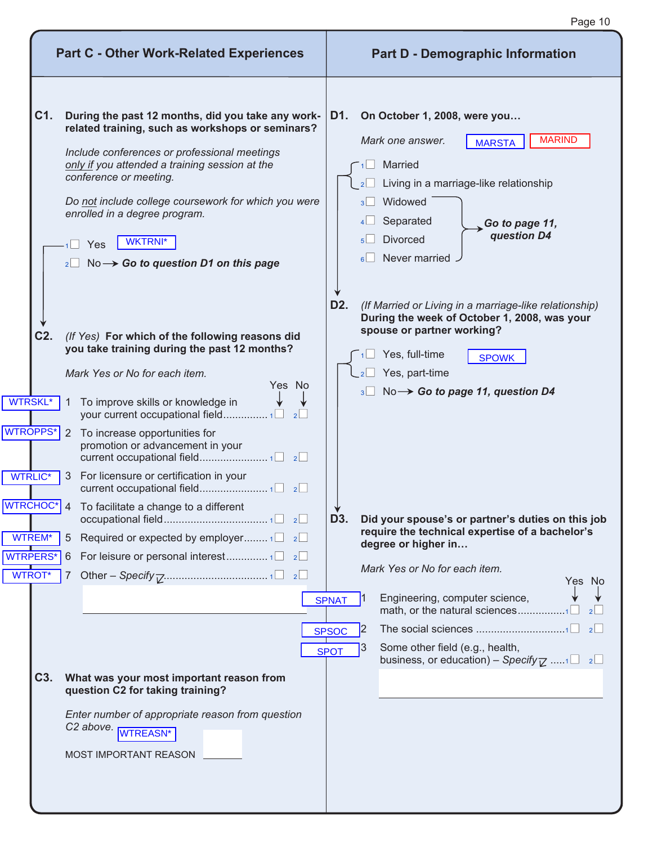|                                                                                        | <b>Part C - Other Work-Related Experiences</b>                                                                                                                                                                                                                                                                                                                                                                    | <b>Part D - Demographic Information</b>                                                                                                                                                                                                                                             |
|----------------------------------------------------------------------------------------|-------------------------------------------------------------------------------------------------------------------------------------------------------------------------------------------------------------------------------------------------------------------------------------------------------------------------------------------------------------------------------------------------------------------|-------------------------------------------------------------------------------------------------------------------------------------------------------------------------------------------------------------------------------------------------------------------------------------|
| C1.                                                                                    | During the past 12 months, did you take any work-<br>related training, such as workshops or seminars?<br>Include conferences or professional meetings<br>only if you attended a training session at the<br>conference or meeting.<br>Do not include college coursework for which you were<br>enrolled in a degree program.<br><b>WKTRNI*</b><br>Yes<br>No $\rightarrow$ Go to question D1 on this page<br>$2\Box$ | On October 1, 2008, were you<br>D1.<br><b>MARIND</b><br>Mark one answer.<br><b>MARSTA</b><br><b>Married</b><br>Living in a marriage-like relationship<br>Widowed<br>3 <sup>1</sup><br>Separated<br>$\rightarrow$ Go to page 11,<br>question D4<br><b>Divorced</b><br>Never married. |
| C <sub>2</sub> .                                                                       | (If Yes) For which of the following reasons did<br>you take training during the past 12 months?<br>Mark Yes or No for each item.                                                                                                                                                                                                                                                                                  | D <sub>2</sub> .<br>(If Married or Living in a marriage-like relationship)<br>During the week of October 1, 2008, was your<br>spouse or partner working?<br>Yes, full-time<br><b>SPOWK</b><br>$\overline{\phantom{a}}$ Yes, part-time                                               |
| <b>WTRSKL*</b><br><b>WTROPPS*</b>                                                      | Yes No<br>To improve skills or knowledge in<br>$\mathbf{1}$<br>your current occupational field1<br>2<br>$\overline{2}$<br>To increase opportunities for<br>promotion or advancement in your                                                                                                                                                                                                                       | $3 \Box$ No $\rightarrow$ Go to page 11, question D4                                                                                                                                                                                                                                |
| <b>WTRLIC*</b><br>WTRCHOC <sup>*</sup> 4<br>WTREM*<br><b>WTRPERS*</b><br><b>WTROT*</b> | For licensure or certification in your<br>3<br>To facilitate a change to a different<br>Required or expected by employer $1\Box$ $2\Box$<br>5<br>6<br>$\overline{7}$                                                                                                                                                                                                                                              | D3.<br>Did your spouse's or partner's duties on this job<br>require the technical expertise of a bachelor's<br>degree or higher in<br>Mark Yes or No for each item.<br>Yes No                                                                                                       |
|                                                                                        |                                                                                                                                                                                                                                                                                                                                                                                                                   | Engineering, computer science,<br><b>SPNAT</b><br>$\vert$ 2<br><b>SPSOC</b><br>Some other field (e.g., health,<br>3<br><b>SPOT</b><br>business, or education) – Specify $\overline{V}$ 1 2                                                                                          |
| C3.                                                                                    | What was your most important reason from<br>question C2 for taking training?<br>Enter number of appropriate reason from question<br>C2 above. WTREASN*<br>MOST IMPORTANT REASON                                                                                                                                                                                                                                   |                                                                                                                                                                                                                                                                                     |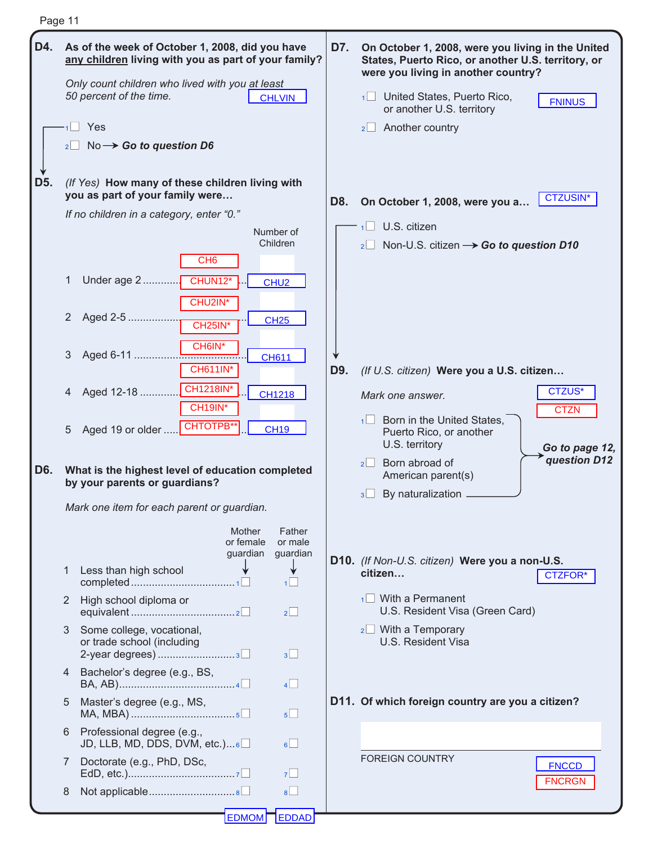| ⊶<br>ĸ<br>. . |  |
|---------------|--|
|               |  |

| D4. | As of the week of October 1, 2008, did you have<br>any children living with you as part of your family?<br>Only count children who lived with you at least<br>50 percent of the time.<br><b>CHLVIN</b> | D7.<br>On October 1, 2008, were you living in the United<br>States, Puerto Rico, or another U.S. territory, or<br>were you living in another country?<br>1 United States, Puerto Rico,<br><b>FNINUS</b><br>or another U.S. territory |
|-----|--------------------------------------------------------------------------------------------------------------------------------------------------------------------------------------------------------|--------------------------------------------------------------------------------------------------------------------------------------------------------------------------------------------------------------------------------------|
|     | $1 \square$ Yes<br>$_2\square$ No $\rightarrow$ Go to question D6                                                                                                                                      | Another country<br>$2 \Box$                                                                                                                                                                                                          |
| D5. | (If Yes) How many of these children living with<br>you as part of your family were<br>If no children in a category, enter "0."<br>Number of                                                            | <b>CTZUSIN*</b><br>D8.<br>On October 1, 2008, were you a<br>U.S. citizen<br>1                                                                                                                                                        |
|     | Children<br>CH <sub>6</sub><br>Under age 2<br>CHUN12*<br>1<br>CHU <sub>2</sub><br>CHU2IN*<br>2 Aged 2-5<br><b>CH25</b><br>CH <sub>25IN</sub> *                                                         | Non-U.S. citizen $\rightarrow$ Go to question D10<br>$2$                                                                                                                                                                             |
|     | $CH6IN*$<br><b>CH611</b><br><b>CH611IN*</b><br><b>CH1218IN*</b><br>4 Aged 12-18<br><b>CH1218</b><br>CH19IN*                                                                                            | D9.<br>(If U.S. citizen) Were you a U.S. citizen<br>CTZUS*<br>Mark one answer.<br><b>CTZN</b><br>$\sqrt{1}$ Born in the United States,                                                                                               |
| D6. | CHTOTPB**<br><b>CH19</b><br>Aged 19 or older<br>5<br>What is the highest level of education completed<br>by your parents or guardians?                                                                 | Puerto Rico, or another<br>U.S. territory<br>Go to page 12,<br>question D12<br>Born abroad of<br>2<br>American parent(s)<br>By naturalization -<br>3 <sup>1</sup>                                                                    |
|     | Mark one item for each parent or guardian.<br><b>Mother</b><br>Father<br>or female<br>or male<br>guardian<br>guardian                                                                                  |                                                                                                                                                                                                                                      |
|     | Less than high school<br>1<br>1                                                                                                                                                                        | D10. (If Non-U.S. citizen) Were you a non-U.S.<br>citizen<br><b>CTZFOR*</b>                                                                                                                                                          |
|     | High school diploma or<br>2 <sup>1</sup><br>2                                                                                                                                                          | $1$ With a Permanent<br>U.S. Resident Visa (Green Card)                                                                                                                                                                              |
|     | Some college, vocational,<br>3<br>or trade school (including<br>2-year degrees) 3<br>3 <sup>1</sup>                                                                                                    | $2 \Box$ With a Temporary<br>U.S. Resident Visa                                                                                                                                                                                      |
|     | 4 Bachelor's degree (e.g., BS,<br>$4\Box$                                                                                                                                                              |                                                                                                                                                                                                                                      |
|     | Master's degree (e.g., MS,<br>5<br>5 <sup>1</sup>                                                                                                                                                      | D11. Of which foreign country are you a citizen?                                                                                                                                                                                     |
|     | Professional degree (e.g.,<br>6.<br>JD, LLB, MD, DDS, DVM, etc.) $6\Box$<br>6                                                                                                                          |                                                                                                                                                                                                                                      |
|     | Doctorate (e.g., PhD, DSc,<br>7<br>7 <sup>1</sup>                                                                                                                                                      | <b>FOREIGN COUNTRY</b><br><b>FNCCD</b><br><b>FNCRGN</b>                                                                                                                                                                              |
|     | Not applicable8<br>$8\Box$<br>8<br>EDMOM <sup>T</sup> EDDAD                                                                                                                                            |                                                                                                                                                                                                                                      |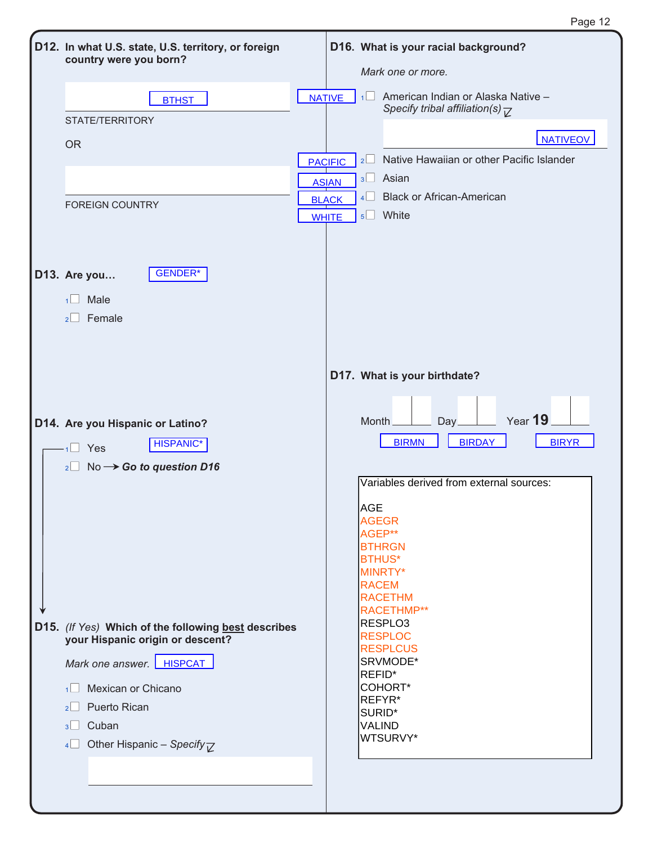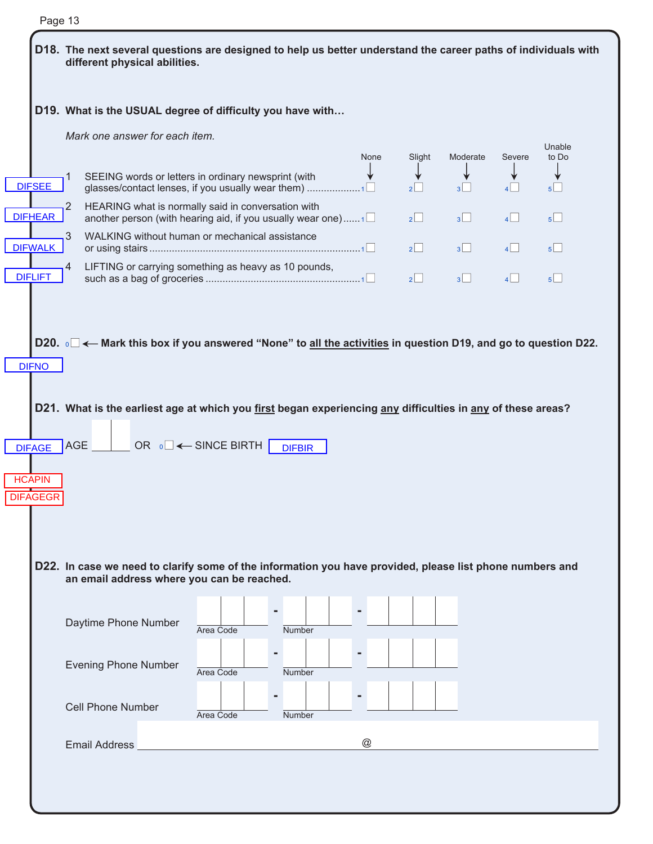|                                                   |                | D18. The next several questions are designed to help us better understand the career paths of individuals with<br>different physical abilities.        |                                        |                        |                  |      |                   |                            |             |                       |  |
|---------------------------------------------------|----------------|--------------------------------------------------------------------------------------------------------------------------------------------------------|----------------------------------------|------------------------|------------------|------|-------------------|----------------------------|-------------|-----------------------|--|
|                                                   |                | D19. What is the USUAL degree of difficulty you have with                                                                                              |                                        |                        |                  |      |                   |                            |             |                       |  |
|                                                   |                | Mark one answer for each item.                                                                                                                         |                                        |                        |                  |      |                   |                            |             | Unable                |  |
| <b>DIFSEE</b>                                     |                | SEEING words or letters in ordinary newsprint (with<br>glasses/contact lenses, if you usually wear them) 1                                             |                                        |                        |                  | None | Slight<br>$2\Box$ | Moderate<br>3 <sup>1</sup> | Severe<br>4 | to Do<br>∀<br>$5\Box$ |  |
| <b>DIFHEAR</b>                                    | $\overline{2}$ | HEARING what is normally said in conversation with<br>another person (with hearing aid, if you usually wear one)1                                      |                                        |                        |                  |      | 2                 | $3\Box$                    | $4\Box$     | $5\Box$               |  |
| <b>DIFWALK</b>                                    | 3              | WALKING without human or mechanical assistance                                                                                                         |                                        |                        |                  |      | $2^{\Box}$        | 3 <sup>1</sup>             | $4\Box$     | 5                     |  |
| <b>DIFLIFT</b>                                    | 4              | LIFTING or carrying something as heavy as 10 pounds,                                                                                                   |                                        |                        |                  |      | 2                 | $3\Box$                    | 4           | $5\Box$               |  |
| <b>DIFNO</b>                                      |                | D20. $\circ \Box \leftarrow$ Mark this box if you answered "None" to <u>all the activities</u> in question D19, and go to question D22.                |                                        |                        |                  |      |                   |                            |             |                       |  |
|                                                   | AGE            | D21. What is the earliest age at which you first began experiencing any difficulties in any of these areas?                                            | OR $\circ \Box \leftarrow$ SINCE BIRTH |                        | <b>DIFBIR</b>    |      |                   |                            |             |                       |  |
|                                                   |                | D22. In case we need to clarify some of the information you have provided, please list phone numbers and<br>an email address where you can be reached. |                                        |                        | $\blacksquare$   |      |                   |                            |             |                       |  |
|                                                   |                | Daytime Phone Number<br><b>Evening Phone Number</b>                                                                                                    |                                        | Area Code<br>Area Code | Number<br>Number |      |                   |                            |             |                       |  |
| <b>DIFAGE</b><br><b>HCAPIN</b><br><b>DIFAGEGR</b> |                | <b>Cell Phone Number</b>                                                                                                                               |                                        | Area Code              | Number           |      |                   |                            |             |                       |  |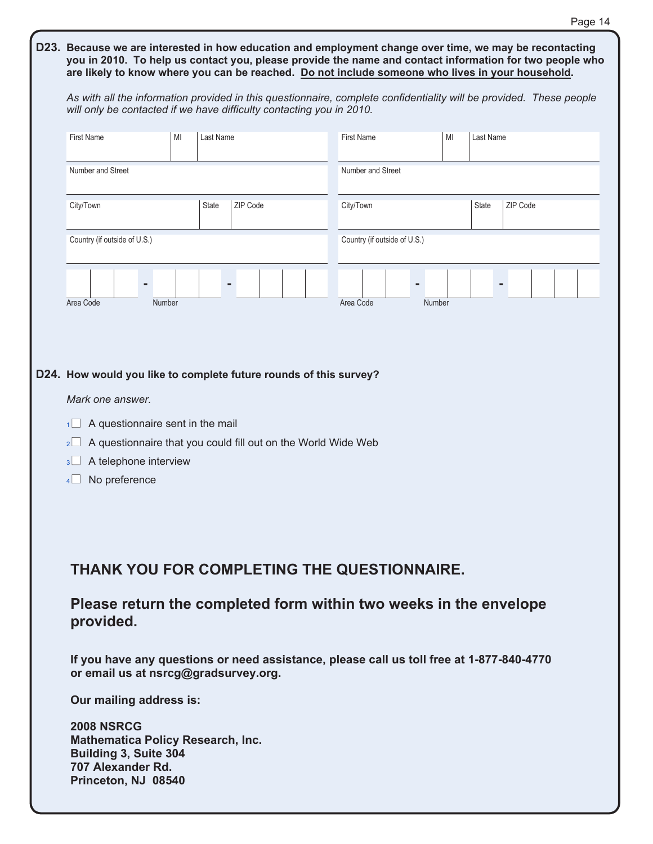| D23. Because we are interested in how education and employment change over time, we may be recontacting<br>are likely to know where you can be reached. Do not include someone who lives in your household. |    |           |          |  |                              |  |        |              | you in 2010. To help us contact you, please provide the name and contact information for two people who |  |
|-------------------------------------------------------------------------------------------------------------------------------------------------------------------------------------------------------------|----|-----------|----------|--|------------------------------|--|--------|--------------|---------------------------------------------------------------------------------------------------------|--|
| As with all the information provided in this questionnaire, complete confidentiality will be provided. These people<br>will only be contacted if we have difficulty contacting you in 2010.                 |    |           |          |  |                              |  |        |              |                                                                                                         |  |
| <b>First Name</b>                                                                                                                                                                                           | MI | Last Name |          |  | <b>First Name</b>            |  | MI     | Last Name    |                                                                                                         |  |
| Number and Street                                                                                                                                                                                           |    |           |          |  | Number and Street            |  |        |              |                                                                                                         |  |
| City/Town                                                                                                                                                                                                   |    | State     | ZIP Code |  | City/Town                    |  |        | <b>State</b> | ZIP Code                                                                                                |  |
| Country (if outside of U.S.)                                                                                                                                                                                |    |           |          |  | Country (if outside of U.S.) |  |        |              |                                                                                                         |  |
| ٠                                                                                                                                                                                                           |    |           |          |  |                              |  |        |              |                                                                                                         |  |
| Area Code<br>Number                                                                                                                                                                                         |    |           |          |  | Area Code                    |  | Number |              |                                                                                                         |  |
|                                                                                                                                                                                                             |    |           |          |  |                              |  |        |              |                                                                                                         |  |
| D24. How would you like to complete future rounds of this survey?                                                                                                                                           |    |           |          |  |                              |  |        |              |                                                                                                         |  |
| Mark one answer.                                                                                                                                                                                            |    |           |          |  |                              |  |        |              |                                                                                                         |  |
| A questionnaire sent in the mail<br>1 <sup>1</sup>                                                                                                                                                          |    |           |          |  |                              |  |        |              |                                                                                                         |  |
| A questionnaire that you could fill out on the World Wide Web<br>2 <sub>2</sub>                                                                                                                             |    |           |          |  |                              |  |        |              |                                                                                                         |  |
| A telephone interview<br>3 <sup>l</sup><br>No preference<br>4 <sup>1</sup>                                                                                                                                  |    |           |          |  |                              |  |        |              |                                                                                                         |  |
|                                                                                                                                                                                                             |    |           |          |  |                              |  |        |              |                                                                                                         |  |
|                                                                                                                                                                                                             |    |           |          |  |                              |  |        |              |                                                                                                         |  |
| THANK YOU FOR COMPLETING THE QUESTIONNAIRE.                                                                                                                                                                 |    |           |          |  |                              |  |        |              |                                                                                                         |  |
| Please return the completed form within two weeks in the envelope<br>provided.                                                                                                                              |    |           |          |  |                              |  |        |              |                                                                                                         |  |
| If you have any questions or need assistance, please call us toll free at 1-877-840-4770<br>or email us at nsrcg@gradsurvey.org.                                                                            |    |           |          |  |                              |  |        |              |                                                                                                         |  |
| Our mailing address is:                                                                                                                                                                                     |    |           |          |  |                              |  |        |              |                                                                                                         |  |
| <b>2008 NSRCG</b><br><b>Mathematica Policy Research, Inc.</b><br><b>Building 3, Suite 304</b><br>707 Alexander Rd.<br>Princeton, NJ 08540                                                                   |    |           |          |  |                              |  |        |              |                                                                                                         |  |
|                                                                                                                                                                                                             |    |           |          |  |                              |  |        |              |                                                                                                         |  |

Page 14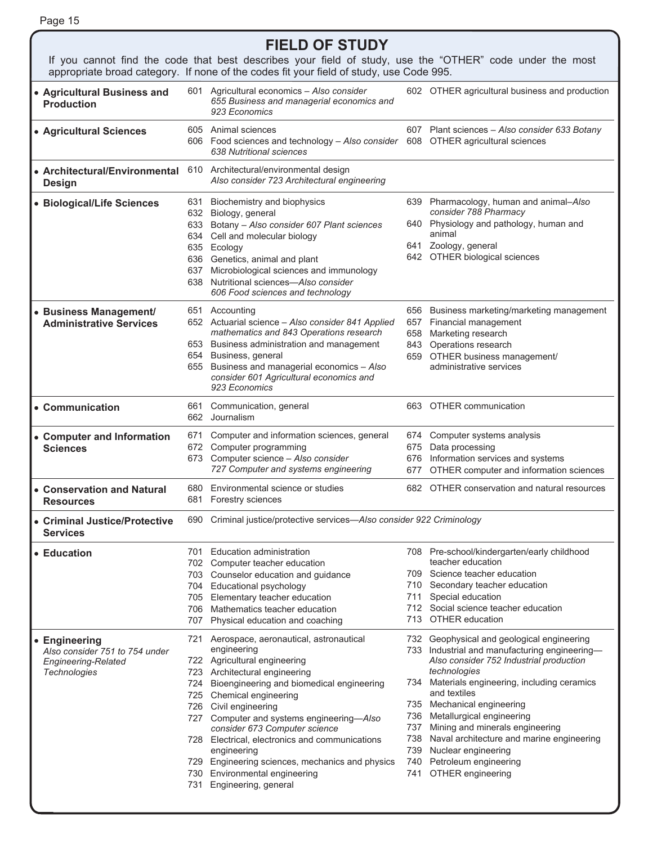| Ю<br>בי |  |
|---------|--|
|---------|--|

#### **FIELD OF STUDY**

If you cannot find the code that best describes your field of study, use the "OTHER" code under the most appropriate broad category. If none of the codes fit your field of study, use Code 995.

| • Agricultural Business and<br><b>Production</b>                                                                                              |                                                                           | Agricultural economics - Also consider<br>601.<br>655 Business and managerial economics and<br>923 Economics                                                                                                                                                                                                                                                                                                                                                                                                                                                                                                                                                                                                |                                                                           | 602 OTHER agricultural business and production                                                                                                                                                                                                                                                                                                                                                                                                                                                                                                                                                                                                      |
|-----------------------------------------------------------------------------------------------------------------------------------------------|---------------------------------------------------------------------------|-------------------------------------------------------------------------------------------------------------------------------------------------------------------------------------------------------------------------------------------------------------------------------------------------------------------------------------------------------------------------------------------------------------------------------------------------------------------------------------------------------------------------------------------------------------------------------------------------------------------------------------------------------------------------------------------------------------|---------------------------------------------------------------------------|-----------------------------------------------------------------------------------------------------------------------------------------------------------------------------------------------------------------------------------------------------------------------------------------------------------------------------------------------------------------------------------------------------------------------------------------------------------------------------------------------------------------------------------------------------------------------------------------------------------------------------------------------------|
| • Agricultural Sciences                                                                                                                       |                                                                           | 605 Animal sciences<br>606 Food sciences and technology - Also consider 608 OTHER agricultural sciences<br>638 Nutritional sciences                                                                                                                                                                                                                                                                                                                                                                                                                                                                                                                                                                         |                                                                           | 607 Plant sciences - Also consider 633 Botany                                                                                                                                                                                                                                                                                                                                                                                                                                                                                                                                                                                                       |
| • Architectural/Environmental<br><b>Design</b>                                                                                                |                                                                           | 610 Architectural/environmental design<br>Also consider 723 Architectural engineering                                                                                                                                                                                                                                                                                                                                                                                                                                                                                                                                                                                                                       |                                                                           |                                                                                                                                                                                                                                                                                                                                                                                                                                                                                                                                                                                                                                                     |
| • Biological/Life Sciences                                                                                                                    | 631<br>632<br>633<br>635<br>638                                           | Biochemistry and biophysics<br>Biology, general<br>Botany - Also consider 607 Plant sciences<br>634 Cell and molecular biology<br>Ecology<br>636 Genetics, animal and plant<br>637 Microbiological sciences and immunology<br>Nutritional sciences-Also consider<br>606 Food sciences and technology                                                                                                                                                                                                                                                                                                                                                                                                        |                                                                           | 639 Pharmacology, human and animal-Also<br>consider 788 Pharmacy<br>640 Physiology and pathology, human and<br>animal<br>641 Zoology, general<br>642 OTHER biological sciences                                                                                                                                                                                                                                                                                                                                                                                                                                                                      |
| • Business Management/<br><b>Administrative Services</b>                                                                                      | 654                                                                       | 651 Accounting<br>652 Actuarial science - Also consider 841 Applied<br>mathematics and 843 Operations research<br>653 Business administration and management<br>Business, general<br>655 Business and managerial economics - Also<br>consider 601 Agricultural economics and<br>923 Economics                                                                                                                                                                                                                                                                                                                                                                                                               | 656<br>657<br>658<br>843                                                  | Business marketing/marketing management<br>Financial management<br>Marketing research<br>Operations research<br>659 OTHER business management/<br>administrative services                                                                                                                                                                                                                                                                                                                                                                                                                                                                           |
| • Communication                                                                                                                               | 661<br>662                                                                | Communication, general<br>Journalism                                                                                                                                                                                                                                                                                                                                                                                                                                                                                                                                                                                                                                                                        |                                                                           | 663 OTHER communication                                                                                                                                                                                                                                                                                                                                                                                                                                                                                                                                                                                                                             |
| • Computer and Information<br><b>Sciences</b>                                                                                                 | 671<br>673                                                                | Computer and information sciences, general<br>672 Computer programming<br>Computer science - Also consider<br>727 Computer and systems engineering                                                                                                                                                                                                                                                                                                                                                                                                                                                                                                                                                          | 674<br>675<br>676<br>677                                                  | Computer systems analysis<br>Data processing<br>Information services and systems<br>OTHER computer and information sciences                                                                                                                                                                                                                                                                                                                                                                                                                                                                                                                         |
| • Conservation and Natural<br><b>Resources</b>                                                                                                | 680<br>681                                                                | Environmental science or studies<br>Forestry sciences                                                                                                                                                                                                                                                                                                                                                                                                                                                                                                                                                                                                                                                       |                                                                           | 682 OTHER conservation and natural resources                                                                                                                                                                                                                                                                                                                                                                                                                                                                                                                                                                                                        |
| • Criminal Justice/Protective<br><b>Services</b>                                                                                              |                                                                           | 690 Criminal justice/protective services-Also consider 922 Criminology                                                                                                                                                                                                                                                                                                                                                                                                                                                                                                                                                                                                                                      |                                                                           |                                                                                                                                                                                                                                                                                                                                                                                                                                                                                                                                                                                                                                                     |
| $\bullet$ Education<br><b>Engineering</b><br>$\bullet$<br>Also consider 751 to 754 under<br><b>Engineering-Related</b><br><b>Technologies</b> | 704<br>705<br>706<br>707<br>721<br>723<br>724<br>725<br>726<br>729<br>731 | 701 Education administration<br>702 Computer teacher education<br>703 Counselor education and guidance<br>Educational psychology<br>Elementary teacher education<br>Mathematics teacher education<br>Physical education and coaching<br>Aerospace, aeronautical, astronautical<br>engineering<br>722 Agricultural engineering<br>Architectural engineering<br>Bioengineering and biomedical engineering<br>Chemical engineering<br>Civil engineering<br>727 Computer and systems engineering-Also<br>consider 673 Computer science<br>728 Electrical, electronics and communications<br>engineering<br>Engineering sciences, mechanics and physics<br>730 Environmental engineering<br>Engineering, general | 709<br>710<br>711<br>712<br>735<br>736<br>737<br>738<br>739<br>740<br>741 | 708 Pre-school/kindergarten/early childhood<br>teacher education<br>Science teacher education<br>Secondary teacher education<br>Special education<br>Social science teacher education<br>713 OTHER education<br>732 Geophysical and geological engineering<br>733 Industrial and manufacturing engineering-<br>Also consider 752 Industrial production<br>technologies<br>734 Materials engineering, including ceramics<br>and textiles<br>Mechanical engineering<br>Metallurgical engineering<br>Mining and minerals engineering<br>Naval architecture and marine engineering<br>Nuclear engineering<br>Petroleum engineering<br>OTHER engineering |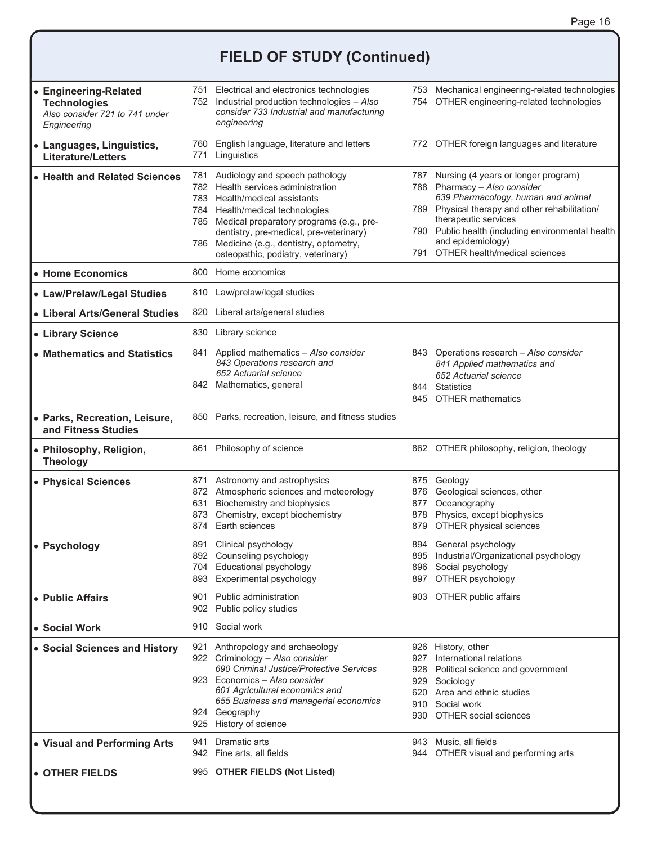## **FIELD OF STUDY (Continued)**

| • Engineering-Related<br><b>Technologies</b><br>Also consider 721 to 741 under<br>Engineering |            | 751 Electrical and electronics technologies<br>752 Industrial production technologies - Also<br>consider 733 Industrial and manufacturing<br>engineering                                                                                                                                                           |                   | 753 Mechanical engineering-related technologies<br>754 OTHER engineering-related technologies                                                                                                                                                                                                      |
|-----------------------------------------------------------------------------------------------|------------|--------------------------------------------------------------------------------------------------------------------------------------------------------------------------------------------------------------------------------------------------------------------------------------------------------------------|-------------------|----------------------------------------------------------------------------------------------------------------------------------------------------------------------------------------------------------------------------------------------------------------------------------------------------|
| • Languages, Linguistics,<br><b>Literature/Letters</b>                                        | 760<br>771 | English language, literature and letters<br>Linguistics                                                                                                                                                                                                                                                            |                   | 772 OTHER foreign languages and literature                                                                                                                                                                                                                                                         |
| • Health and Related Sciences                                                                 | 781<br>786 | Audiology and speech pathology<br>782 Health services administration<br>783 Health/medical assistants<br>784 Health/medical technologies<br>785 Medical preparatory programs (e.g., pre-<br>dentistry, pre-medical, pre-veterinary)<br>Medicine (e.g., dentistry, optometry,<br>osteopathic, podiatry, veterinary) | 791               | 787 Nursing (4 years or longer program)<br>788 Pharmacy - Also consider<br>639 Pharmacology, human and animal<br>789 Physical therapy and other rehabilitation/<br>therapeutic services<br>790 Public health (including environmental health<br>and epidemiology)<br>OTHER health/medical sciences |
| • Home Economics                                                                              | 800        | Home economics                                                                                                                                                                                                                                                                                                     |                   |                                                                                                                                                                                                                                                                                                    |
| • Law/Prelaw/Legal Studies                                                                    |            | 810 Law/prelaw/legal studies                                                                                                                                                                                                                                                                                       |                   |                                                                                                                                                                                                                                                                                                    |
| • Liberal Arts/General Studies                                                                |            | 820 Liberal arts/general studies                                                                                                                                                                                                                                                                                   |                   |                                                                                                                                                                                                                                                                                                    |
| • Library Science                                                                             |            | 830 Library science                                                                                                                                                                                                                                                                                                |                   |                                                                                                                                                                                                                                                                                                    |
| • Mathematics and Statistics                                                                  |            | 841 Applied mathematics - Also consider<br>843 Operations research and<br>652 Actuarial science<br>842 Mathematics, general                                                                                                                                                                                        |                   | 843 Operations research - Also consider<br>841 Applied mathematics and<br>652 Actuarial science<br>844 Statistics                                                                                                                                                                                  |
|                                                                                               |            |                                                                                                                                                                                                                                                                                                                    |                   | 845 OTHER mathematics                                                                                                                                                                                                                                                                              |
| · Parks, Recreation, Leisure,<br>and Fitness Studies                                          |            | 850 Parks, recreation, leisure, and fitness studies                                                                                                                                                                                                                                                                |                   |                                                                                                                                                                                                                                                                                                    |
| · Philosophy, Religion,<br><b>Theology</b>                                                    |            | 861 Philosophy of science                                                                                                                                                                                                                                                                                          |                   | 862 OTHER philosophy, religion, theology                                                                                                                                                                                                                                                           |
| • Physical Sciences                                                                           | 631<br>873 | 871 Astronomy and astrophysics<br>872 Atmospheric sciences and meteorology<br>Biochemistry and biophysics<br>Chemistry, except biochemistry<br>874 Earth sciences                                                                                                                                                  | 876<br>877<br>878 | 875 Geology<br>Geological sciences, other<br>Oceanography<br>Physics, except biophysics<br>879 OTHER physical sciences                                                                                                                                                                             |
| • Psychology                                                                                  | 893        | 891 Clinical psychology<br>892 Counseling psychology<br>704 Educational psychology<br>Experimental psychology                                                                                                                                                                                                      | 897               | 894 General psychology<br>895 Industrial/Organizational psychology<br>896 Social psychology<br>OTHER psychology                                                                                                                                                                                    |
| • Public Affairs                                                                              | 901<br>902 | Public administration<br>Public policy studies                                                                                                                                                                                                                                                                     |                   | 903 OTHER public affairs                                                                                                                                                                                                                                                                           |
| • Social Work                                                                                 |            | 910 Social work                                                                                                                                                                                                                                                                                                    |                   |                                                                                                                                                                                                                                                                                                    |
| • Social Sciences and History                                                                 |            | 921 Anthropology and archaeology<br>922 Criminology - Also consider<br>690 Criminal Justice/Protective Services<br>923 Economics - Also consider<br>601 Agricultural economics and<br>655 Business and managerial economics<br>924 Geography<br>925 History of science                                             | 930               | 926 History, other<br>927 International relations<br>928 Political science and government<br>929 Sociology<br>620 Area and ethnic studies<br>910 Social work<br>OTHER social sciences                                                                                                              |
| • Visual and Performing Arts                                                                  |            | 941 Dramatic arts<br>942 Fine arts, all fields                                                                                                                                                                                                                                                                     |                   | 943 Music, all fields<br>944 OTHER visual and performing arts                                                                                                                                                                                                                                      |
| • OTHER FIELDS                                                                                |            | 995 OTHER FIELDS (Not Listed)                                                                                                                                                                                                                                                                                      |                   |                                                                                                                                                                                                                                                                                                    |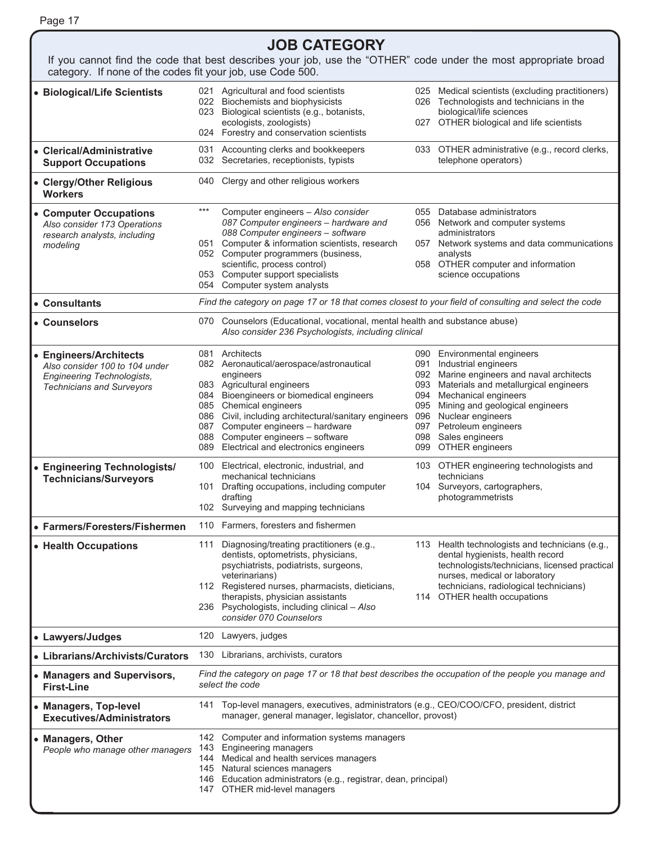|--|--|--|--|

| category. If none of the codes fit your job, use Code 500.                                                                        |       | <b>JOB CATEGORY</b><br>If you cannot find the code that best describes your job, use the "OTHER" code under the most appropriate broad                                                                                                                                                                                                                     |                                               |                                                                                                                                                                                                                                                                                            |
|-----------------------------------------------------------------------------------------------------------------------------------|-------|------------------------------------------------------------------------------------------------------------------------------------------------------------------------------------------------------------------------------------------------------------------------------------------------------------------------------------------------------------|-----------------------------------------------|--------------------------------------------------------------------------------------------------------------------------------------------------------------------------------------------------------------------------------------------------------------------------------------------|
| • Biological/Life Scientists                                                                                                      |       | 021 Agricultural and food scientists<br>022 Biochemists and biophysicists<br>023 Biological scientists (e.g., botanists,<br>ecologists, zoologists)<br>024 Forestry and conservation scientists                                                                                                                                                            |                                               | 025 Medical scientists (excluding practitioners)<br>026 Technologists and technicians in the<br>biological/life sciences<br>027 OTHER biological and life scientists                                                                                                                       |
| • Clerical/Administrative<br><b>Support Occupations</b>                                                                           |       | 031 Accounting clerks and bookkeepers<br>032 Secretaries, receptionists, typists                                                                                                                                                                                                                                                                           |                                               | 033 OTHER administrative (e.g., record clerks,<br>telephone operators)                                                                                                                                                                                                                     |
| • Clergy/Other Religious<br><b>Workers</b>                                                                                        |       | 040 Clergy and other religious workers                                                                                                                                                                                                                                                                                                                     |                                               |                                                                                                                                                                                                                                                                                            |
| • Computer Occupations<br>Also consider 173 Operations<br>research analysts, including<br>modeling                                | $***$ | Computer engineers - Also consider<br>087 Computer engineers - hardware and<br>088 Computer engineers - software<br>051 Computer & information scientists, research<br>052 Computer programmers (business,<br>scientific, process control)<br>053 Computer support specialists<br>054 Computer system analysts                                             |                                               | 055 Database administrators<br>056 Network and computer systems<br>administrators<br>057 Network systems and data communications<br>analysts<br>058 OTHER computer and information<br>science occupations                                                                                  |
| • Consultants                                                                                                                     |       | Find the category on page 17 or 18 that comes closest to your field of consulting and select the code                                                                                                                                                                                                                                                      |                                               |                                                                                                                                                                                                                                                                                            |
| • Counselors                                                                                                                      |       | 070 Counselors (Educational, vocational, mental health and substance abuse)<br>Also consider 236 Psychologists, including clinical                                                                                                                                                                                                                         |                                               |                                                                                                                                                                                                                                                                                            |
| • Engineers/Architects<br>Also consider 100 to 104 under<br><b>Engineering Technologists,</b><br><b>Technicians and Surveyors</b> |       | 081 Architects<br>082 Aeronautical/aerospace/astronautical<br>engineers<br>083 Agricultural engineers<br>084 Bioengineers or biomedical engineers<br>085 Chemical engineers<br>086 Civil, including architectural/sanitary engineers<br>087 Computer engineers - hardware<br>088 Computer engineers - software<br>089 Electrical and electronics engineers | 091<br>093<br>094<br>095<br>096<br>097<br>098 | 090 Environmental engineers<br>Industrial engineers<br>092 Marine engineers and naval architects<br>Materials and metallurgical engineers<br>Mechanical engineers<br>Mining and geological engineers<br>Nuclear engineers<br>Petroleum engineers<br>Sales engineers<br>099 OTHER engineers |
| • Engineering Technologists/<br><b>Technicians/Surveyors</b>                                                                      |       | 100 Electrical, electronic, industrial, and<br>mechanical technicians<br>101 Drafting occupations, including computer<br>drafting<br>102 Surveying and mapping technicians                                                                                                                                                                                 |                                               | 103 OTHER engineering technologists and<br>technicians<br>104 Surveyors, cartographers,<br>photogrammetrists                                                                                                                                                                               |
| • Farmers/Foresters/Fishermen                                                                                                     |       | 110 Farmers, foresters and fishermen                                                                                                                                                                                                                                                                                                                       |                                               |                                                                                                                                                                                                                                                                                            |
| • Health Occupations                                                                                                              | 111   | Diagnosing/treating practitioners (e.g.,<br>dentists, optometrists, physicians,<br>psychiatrists, podiatrists, surgeons,<br>veterinarians)<br>112 Registered nurses, pharmacists, dieticians,<br>therapists, physician assistants<br>236 Psychologists, including clinical - Also<br>consider 070 Counselors                                               |                                               | 113 Health technologists and technicians (e.g.,<br>dental hygienists, health record<br>technologists/technicians, licensed practical<br>nurses, medical or laboratory<br>technicians, radiological technicians)<br>114 OTHER health occupations                                            |
| • Lawyers/Judges                                                                                                                  |       | 120 Lawyers, judges                                                                                                                                                                                                                                                                                                                                        |                                               |                                                                                                                                                                                                                                                                                            |
| • Librarians/Archivists/Curators                                                                                                  |       | 130 Librarians, archivists, curators                                                                                                                                                                                                                                                                                                                       |                                               |                                                                                                                                                                                                                                                                                            |
| • Managers and Supervisors,<br><b>First-Line</b>                                                                                  |       | Find the category on page 17 or 18 that best describes the occupation of the people you manage and<br>select the code                                                                                                                                                                                                                                      |                                               |                                                                                                                                                                                                                                                                                            |
| • Managers, Top-level<br><b>Executives/Administrators</b>                                                                         |       | 141 Top-level managers, executives, administrators (e.g., CEO/COO/CFO, president, district<br>manager, general manager, legislator, chancellor, provost)                                                                                                                                                                                                   |                                               |                                                                                                                                                                                                                                                                                            |
| • Managers, Other<br>People who manage other managers                                                                             |       | 142 Computer and information systems managers<br>143 Engineering managers<br>144 Medical and health services managers<br>145 Natural sciences managers<br>146 Education administrators (e.g., registrar, dean, principal)<br>147 OTHER mid-level managers                                                                                                  |                                               |                                                                                                                                                                                                                                                                                            |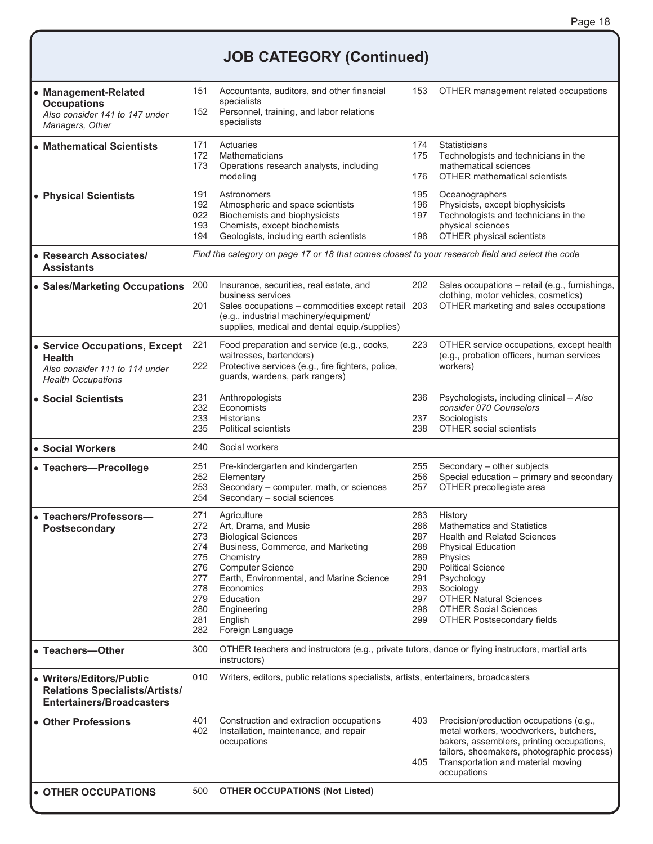## **JOB CATEGORY (Continued)**

| • Management-Related<br><b>Occupations</b><br>Also consider 141 to 147 under<br>Managers, Other               | 151<br>152                                                                       | Accountants, auditors, and other financial<br>specialists<br>Personnel, training, and labor relations<br>specialists                                                                                                                                                | 153                                                                       | OTHER management related occupations                                                                                                                                                                                                                                                           |
|---------------------------------------------------------------------------------------------------------------|----------------------------------------------------------------------------------|---------------------------------------------------------------------------------------------------------------------------------------------------------------------------------------------------------------------------------------------------------------------|---------------------------------------------------------------------------|------------------------------------------------------------------------------------------------------------------------------------------------------------------------------------------------------------------------------------------------------------------------------------------------|
| • Mathematical Scientists                                                                                     | 171<br>172<br>173                                                                | Actuaries<br>Mathematicians<br>Operations research analysts, including<br>modeling                                                                                                                                                                                  | 174<br>175<br>176                                                         | Statisticians<br>Technologists and technicians in the<br>mathematical sciences<br><b>OTHER mathematical scientists</b>                                                                                                                                                                         |
| • Physical Scientists                                                                                         | 191<br>192<br>022<br>193<br>194                                                  | Astronomers<br>Atmospheric and space scientists<br>Biochemists and biophysicists<br>Chemists, except biochemists<br>Geologists, including earth scientists                                                                                                          | 195<br>196<br>197<br>198                                                  | Oceanographers<br>Physicists, except biophysicists<br>Technologists and technicians in the<br>physical sciences<br>OTHER physical scientists                                                                                                                                                   |
| • Research Associates/<br><b>Assistants</b>                                                                   |                                                                                  | Find the category on page 17 or 18 that comes closest to your research field and select the code                                                                                                                                                                    |                                                                           |                                                                                                                                                                                                                                                                                                |
| • Sales/Marketing Occupations                                                                                 | 200<br>201                                                                       | Insurance, securities, real estate, and<br>business services<br>Sales occupations - commodities except retail 203<br>(e.g., industrial machinery/equipment/<br>supplies, medical and dental equip./supplies)                                                        | 202                                                                       | Sales occupations - retail (e.g., furnishings,<br>clothing, motor vehicles, cosmetics)<br>OTHER marketing and sales occupations                                                                                                                                                                |
| • Service Occupations, Except<br><b>Health</b><br>Also consider 111 to 114 under<br><b>Health Occupations</b> | 221<br>222                                                                       | Food preparation and service (e.g., cooks,<br>waitresses, bartenders)<br>Protective services (e.g., fire fighters, police,<br>guards, wardens, park rangers)                                                                                                        | 223                                                                       | OTHER service occupations, except health<br>(e.g., probation officers, human services<br>workers)                                                                                                                                                                                              |
| • Social Scientists                                                                                           | 231<br>232<br>233<br>235                                                         | Anthropologists<br>Economists<br><b>Historians</b><br><b>Political scientists</b>                                                                                                                                                                                   | 236<br>237<br>238                                                         | Psychologists, including clinical - Also<br>consider 070 Counselors<br>Sociologists<br>OTHER social scientists                                                                                                                                                                                 |
| • Social Workers                                                                                              | 240                                                                              | Social workers                                                                                                                                                                                                                                                      |                                                                           |                                                                                                                                                                                                                                                                                                |
| • Teachers-Precollege                                                                                         | 251<br>252<br>253<br>254                                                         | Pre-kindergarten and kindergarten<br>Elementary<br>Secondary - computer, math, or sciences<br>Secondary - social sciences                                                                                                                                           | 255<br>256<br>257                                                         | Secondary - other subjects<br>Special education - primary and secondary<br>OTHER precollegiate area                                                                                                                                                                                            |
| • Teachers/Professors-<br><b>Postsecondary</b>                                                                | 271<br>272<br>273<br>274<br>275<br>276<br>277<br>278<br>279<br>280<br>281<br>282 | Agriculture<br>Art, Drama, and Music<br><b>Biological Sciences</b><br>Business, Commerce, and Marketing<br>Chemistry<br><b>Computer Science</b><br>Earth, Environmental, and Marine Science<br>Economics<br>Education<br>Engineering<br>English<br>Foreign Language | 283<br>286<br>287<br>288<br>289<br>290<br>291<br>293<br>297<br>298<br>299 | History<br><b>Mathematics and Statistics</b><br><b>Health and Related Sciences</b><br><b>Physical Education</b><br><b>Physics</b><br><b>Political Science</b><br>Psychology<br>Sociology<br><b>OTHER Natural Sciences</b><br><b>OTHER Social Sciences</b><br><b>OTHER Postsecondary fields</b> |
| • Teachers-Other                                                                                              | 300                                                                              | OTHER teachers and instructors (e.g., private tutors, dance or flying instructors, martial arts<br>instructors)                                                                                                                                                     |                                                                           |                                                                                                                                                                                                                                                                                                |
| • Writers/Editors/Public<br><b>Relations Specialists/Artists/</b><br><b>Entertainers/Broadcasters</b>         | 010                                                                              | Writers, editors, public relations specialists, artists, entertainers, broadcasters                                                                                                                                                                                 |                                                                           |                                                                                                                                                                                                                                                                                                |
| • Other Professions                                                                                           | 401<br>402                                                                       | Construction and extraction occupations<br>Installation, maintenance, and repair<br>occupations                                                                                                                                                                     | 403<br>405                                                                | Precision/production occupations (e.g.,<br>metal workers, woodworkers, butchers,<br>bakers, assemblers, printing occupations,<br>tailors, shoemakers, photographic process)<br>Transportation and material moving<br>occupations                                                               |
| • OTHER OCCUPATIONS                                                                                           | 500                                                                              | <b>OTHER OCCUPATIONS (Not Listed)</b>                                                                                                                                                                                                                               |                                                                           |                                                                                                                                                                                                                                                                                                |